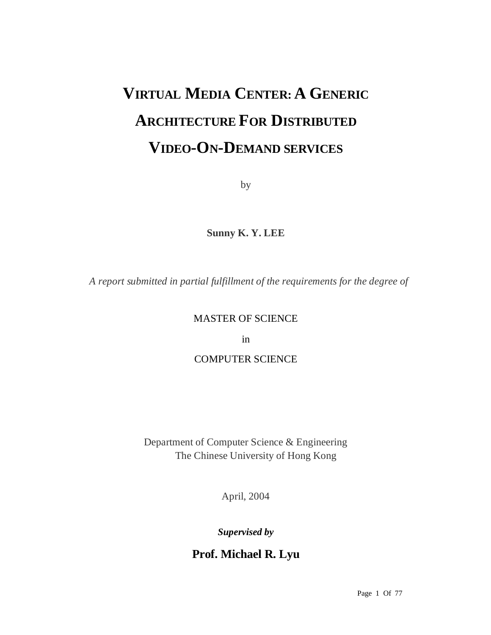# **VIRTUAL MEDIA CENTER: A GENERIC ARCHITECTURE FOR DISTRIBUTED VIDEO-ON-DEMAND SERVICES**

by

**Sunny K. Y. LEE** 

*A report submitted in partial fulfillment of the requirements for the degree of* 

# MASTER OF SCIENCE

in

# COMPUTER SCIENCE

Department of Computer Science & Engineering The Chinese University of Hong Kong

April, 2004

*Supervised by* 

**Prof. Michael R. Lyu**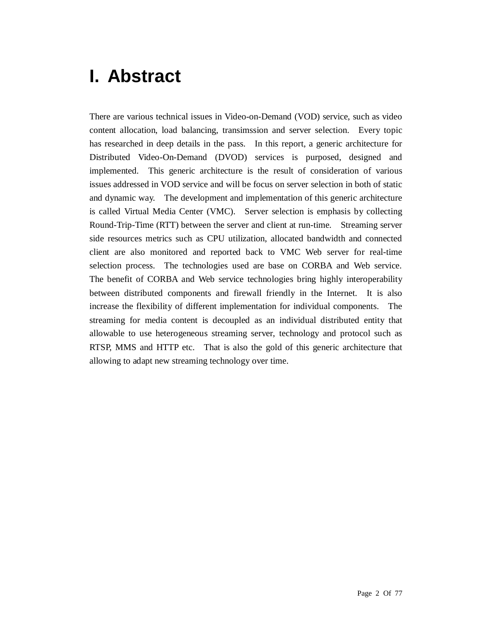# **I. Abstract**

There are various technical issues in Video-on-Demand (VOD) service, such as video content allocation, load balancing, transimssion and server selection. Every topic has researched in deep details in the pass. In this report, a generic architecture for Distributed Video-On-Demand (DVOD) services is purposed, designed and implemented. This generic architecture is the result of consideration of various issues addressed in VOD service and will be focus on server selection in both of static and dynamic way. The development and implementation of this generic architecture is called Virtual Media Center (VMC). Server selection is emphasis by collecting Round-Trip-Time (RTT) between the server and client at run-time. Streaming server side resources metrics such as CPU utilization, allocated bandwidth and connected client are also monitored and reported back to VMC Web server for real-time selection process. The technologies used are base on CORBA and Web service. The benefit of CORBA and Web service technologies bring highly interoperability between distributed components and firewall friendly in the Internet. It is also increase the flexibility of different implementation for individual components. The streaming for media content is decoupled as an individual distributed entity that allowable to use heterogeneous streaming server, technology and protocol such as RTSP, MMS and HTTP etc. That is also the gold of this generic architecture that allowing to adapt new streaming technology over time.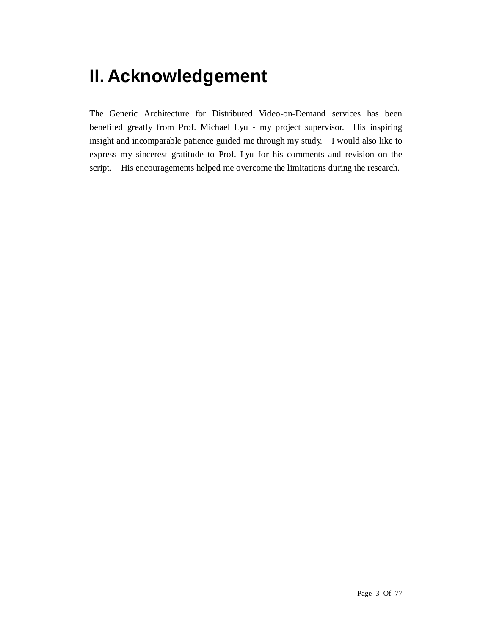# **II. Acknowledgement**

The Generic Architecture for Distributed Video-on-Demand services has been benefited greatly from Prof. Michael Lyu - my project supervisor. His inspiring insight and incomparable patience guided me through my study. I would also like to express my sincerest gratitude to Prof. Lyu for his comments and revision on the script. His encouragements helped me overcome the limitations during the research.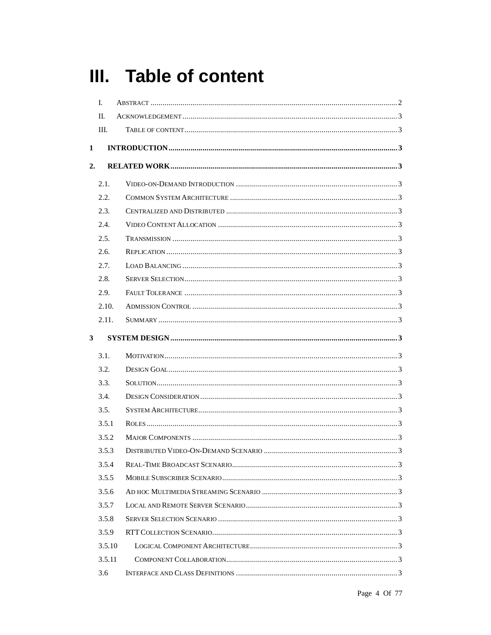# III. Table of content

|    | L.     |  |
|----|--------|--|
|    | II.    |  |
|    | III.   |  |
| 1  |        |  |
| 2. |        |  |
|    | 2.1.   |  |
|    | 2.2.   |  |
|    | 2.3.   |  |
|    | 2.4.   |  |
|    | 2.5.   |  |
|    | 2.6.   |  |
|    | 2.7.   |  |
|    | 2.8.   |  |
|    | 2.9.   |  |
|    | 2.10.  |  |
|    | 2.11.  |  |
| 3  |        |  |
|    | 3.1.   |  |
|    | 3.2.   |  |
|    | 3.3.   |  |
|    | 3.4.   |  |
|    | 3.5.   |  |
|    | 3.5.1  |  |
|    | 3.5.2  |  |
|    |        |  |
|    | 3.5.3  |  |
|    | 3.5.4  |  |
|    | 3.5.5  |  |
|    | 3.5.6  |  |
|    | 3.5.7  |  |
|    | 3.5.8  |  |
|    | 3.5.9  |  |
|    | 3.5.10 |  |
|    | 3.5.11 |  |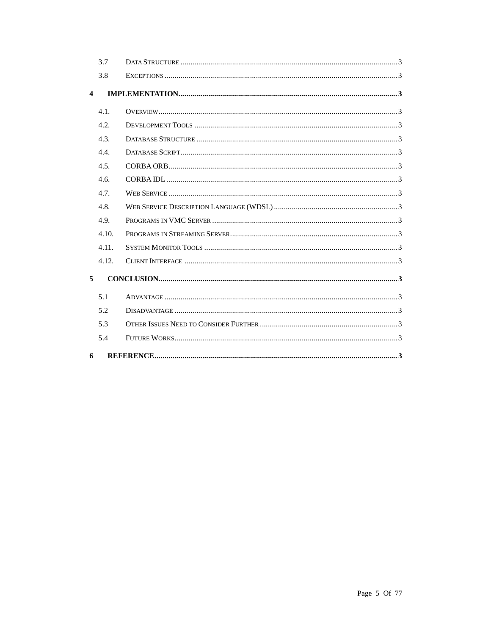|                         | 3.7   |  |
|-------------------------|-------|--|
|                         | 3.8   |  |
| $\overline{\mathbf{4}}$ |       |  |
|                         | 4.1.  |  |
|                         | 4.2.  |  |
|                         | 4.3.  |  |
|                         | 4.4.  |  |
|                         | 4.5.  |  |
|                         | 4.6.  |  |
|                         | 4.7.  |  |
|                         | 4.8.  |  |
|                         | 4.9.  |  |
|                         | 4.10. |  |
|                         | 4.11. |  |
|                         | 4.12. |  |
| 5                       |       |  |
|                         | 5.1   |  |
|                         | 5.2   |  |
|                         | 5.3   |  |
|                         | 5.4   |  |
| 6                       |       |  |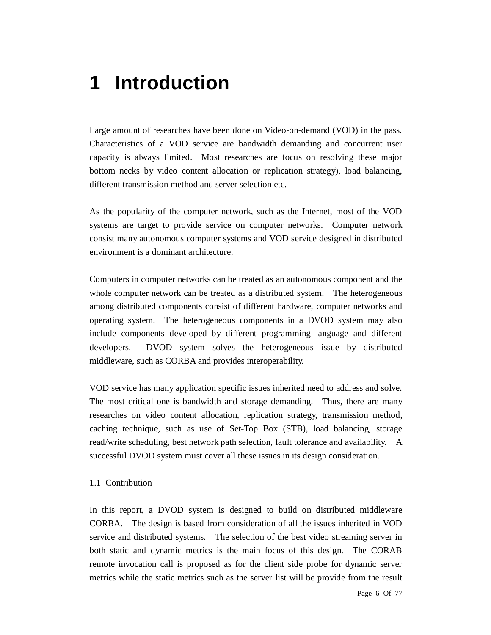# **1 Introduction**

Large amount of researches have been done on Video-on-demand (VOD) in the pass. Characteristics of a VOD service are bandwidth demanding and concurrent user capacity is always limited. Most researches are focus on resolving these major bottom necks by video content allocation or replication strategy), load balancing, different transmission method and server selection etc.

As the popularity of the computer network, such as the Internet, most of the VOD systems are target to provide service on computer networks. Computer network consist many autonomous computer systems and VOD service designed in distributed environment is a dominant architecture.

Computers in computer networks can be treated as an autonomous component and the whole computer network can be treated as a distributed system. The heterogeneous among distributed components consist of different hardware, computer networks and operating system. The heterogeneous components in a DVOD system may also include components developed by different programming language and different developers. DVOD system solves the heterogeneous issue by distributed middleware, such as CORBA and provides interoperability.

VOD service has many application specific issues inherited need to address and solve. The most critical one is bandwidth and storage demanding. Thus, there are many researches on video content allocation, replication strategy, transmission method, caching technique, such as use of Set-Top Box (STB), load balancing, storage read/write scheduling, best network path selection, fault tolerance and availability. A successful DVOD system must cover all these issues in its design consideration.

### 1.1 Contribution

In this report, a DVOD system is designed to build on distributed middleware CORBA. The design is based from consideration of all the issues inherited in VOD service and distributed systems. The selection of the best video streaming server in both static and dynamic metrics is the main focus of this design. The CORAB remote invocation call is proposed as for the client side probe for dynamic server metrics while the static metrics such as the server list will be provide from the result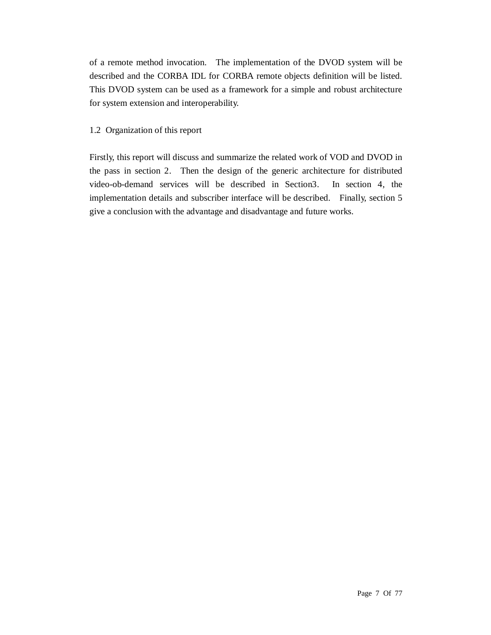of a remote method invocation. The implementation of the DVOD system will be described and the CORBA IDL for CORBA remote objects definition will be listed. This DVOD system can be used as a framework for a simple and robust architecture for system extension and interoperability.

### 1.2 Organization of this report

Firstly, this report will discuss and summarize the related work of VOD and DVOD in the pass in section 2. Then the design of the generic architecture for distributed video-ob-demand services will be described in Section3. In section 4, the implementation details and subscriber interface will be described. Finally, section 5 give a conclusion with the advantage and disadvantage and future works.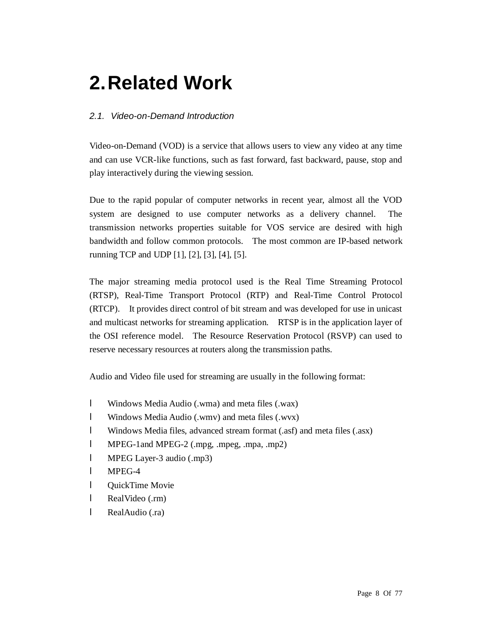# **2.Related Work**

# *2.1. Video-on-Demand Introduction*

Video-on-Demand (VOD) is a service that allows users to view any video at any time and can use VCR-like functions, such as fast forward, fast backward, pause, stop and play interactively during the viewing session.

Due to the rapid popular of computer networks in recent year, almost all the VOD system are designed to use computer networks as a delivery channel. The transmission networks properties suitable for VOS service are desired with high bandwidth and follow common protocols. The most common are IP-based network running TCP and UDP [1], [2], [3], [4], [5].

The major streaming media protocol used is the Real Time Streaming Protocol (RTSP), Real-Time Transport Protocol (RTP) and Real-Time Control Protocol (RTCP). It provides direct control of bit stream and was developed for use in unicast and multicast networks for streaming application. RTSP is in the application layer of the OSI reference model. The Resource Reservation Protocol (RSVP) can used to reserve necessary resources at routers along the transmission paths.

Audio and Video file used for streaming are usually in the following format:

- l Windows Media Audio (.wma) and meta files (.wax)
- l Windows Media Audio (.wmv) and meta files (.wvx)
- l Windows Media files, advanced stream format (.asf) and meta files (.asx)
- l MPEG-1and MPEG-2 (.mpg, .mpeg, .mpa, .mp2)
- l MPEG Layer-3 audio (.mp3)
- l MPEG-4
- l QuickTime Movie
- l RealVideo (.rm)
- l RealAudio (.ra)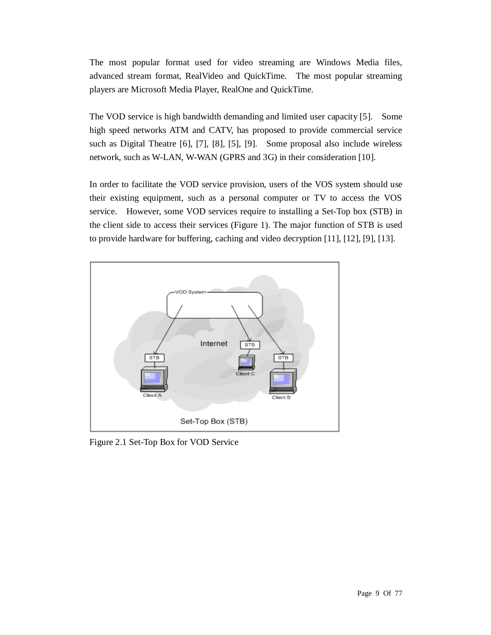The most popular format used for video streaming are Windows Media files, advanced stream format, RealVideo and QuickTime. The most popular streaming players are Microsoft Media Player, RealOne and QuickTime.

The VOD service is high bandwidth demanding and limited user capacity [5]. Some high speed networks ATM and CATV, has proposed to provide commercial service such as Digital Theatre [6], [7], [8], [5], [9]. Some proposal also include wireless network, such as W-LAN, W-WAN (GPRS and 3G) in their consideration [10].

In order to facilitate the VOD service provision, users of the VOS system should use their existing equipment, such as a personal computer or TV to access the VOS service. However, some VOD services require to installing a Set-Top box (STB) in the client side to access their services (Figure 1). The major function of STB is used to provide hardware for buffering, caching and video decryption [11], [12], [9], [13].



Figure 2.1 Set-Top Box for VOD Service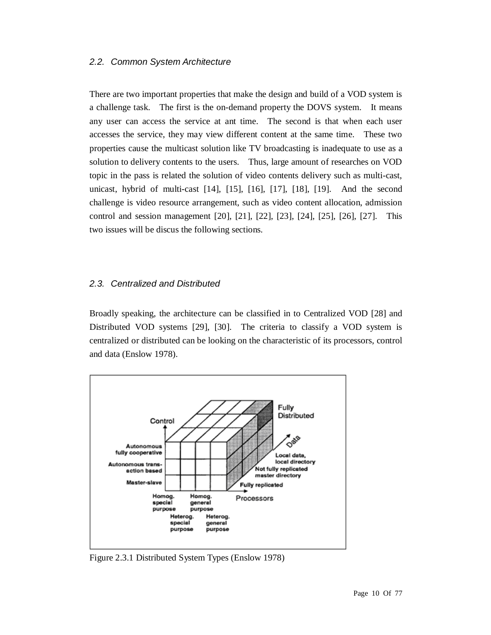### *2.2. Common System Architecture*

There are two important properties that make the design and build of a VOD system is a challenge task. The first is the on-demand property the DOVS system. It means any user can access the service at ant time. The second is that when each user accesses the service, they may view different content at the same time. These two properties cause the multicast solution like TV broadcasting is inadequate to use as a solution to delivery contents to the users. Thus, large amount of researches on VOD topic in the pass is related the solution of video contents delivery such as multi-cast, unicast, hybrid of multi-cast [14], [15], [16], [17], [18], [19]. And the second challenge is video resource arrangement, such as video content allocation, admission control and session management [20], [21], [22], [23], [24], [25], [26], [27]. This two issues will be discus the following sections.

## *2.3. Centralized and Distributed*

Broadly speaking, the architecture can be classified in to Centralized VOD [28] and Distributed VOD systems [29], [30]. The criteria to classify a VOD system is centralized or distributed can be looking on the characteristic of its processors, control and data (Enslow 1978).



Figure 2.3.1 Distributed System Types (Enslow 1978)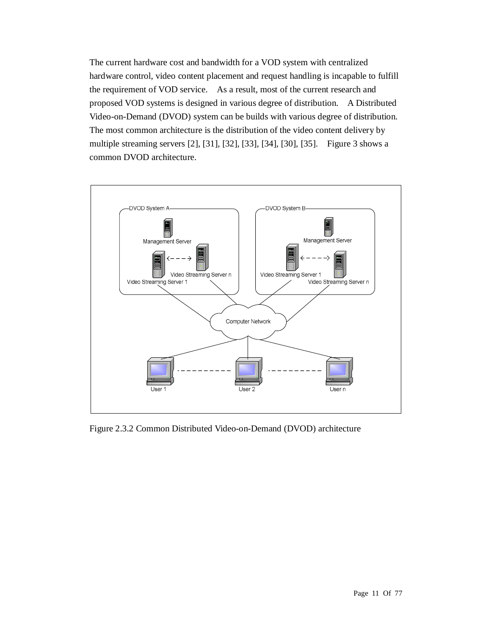The current hardware cost and bandwidth for a VOD system with centralized hardware control, video content placement and request handling is incapable to fulfill the requirement of VOD service. As a result, most of the current research and proposed VOD systems is designed in various degree of distribution. A Distributed Video-on-Demand (DVOD) system can be builds with various degree of distribution. The most common architecture is the distribution of the video content delivery by multiple streaming servers [2], [31], [32], [33], [34], [30], [35]. Figure 3 shows a common DVOD architecture.



Figure 2.3.2 Common Distributed Video-on-Demand (DVOD) architecture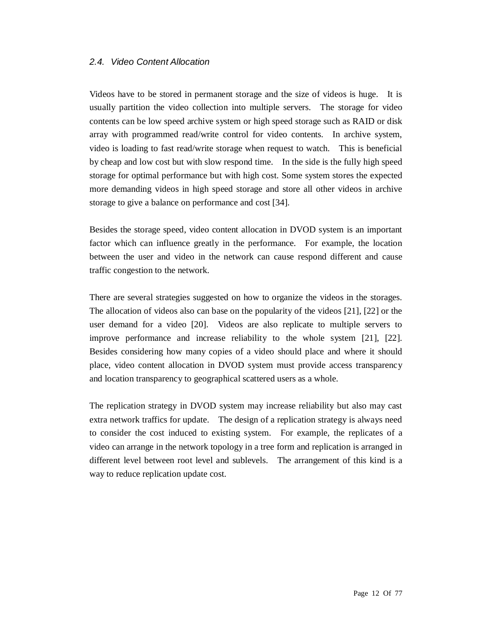### *2.4. Video Content Allocation*

Videos have to be stored in permanent storage and the size of videos is huge. It is usually partition the video collection into multiple servers. The storage for video contents can be low speed archive system or high speed storage such as RAID or disk array with programmed read/write control for video contents. In archive system, video is loading to fast read/write storage when request to watch. This is beneficial by cheap and low cost but with slow respond time. In the side is the fully high speed storage for optimal performance but with high cost. Some system stores the expected more demanding videos in high speed storage and store all other videos in archive storage to give a balance on performance and cost [34].

Besides the storage speed, video content allocation in DVOD system is an important factor which can influence greatly in the performance. For example, the location between the user and video in the network can cause respond different and cause traffic congestion to the network.

There are several strategies suggested on how to organize the videos in the storages. The allocation of videos also can base on the popularity of the videos [21], [22] or the user demand for a video [20]. Videos are also replicate to multiple servers to improve performance and increase reliability to the whole system [21], [22]. Besides considering how many copies of a video should place and where it should place, video content allocation in DVOD system must provide access transparency and location transparency to geographical scattered users as a whole.

The replication strategy in DVOD system may increase reliability but also may cast extra network traffics for update. The design of a replication strategy is always need to consider the cost induced to existing system. For example, the replicates of a video can arrange in the network topology in a tree form and replication is arranged in different level between root level and sublevels. The arrangement of this kind is a way to reduce replication update cost.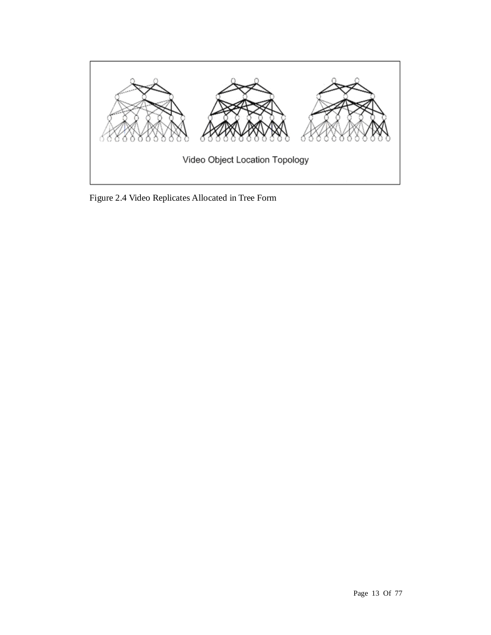

Figure 2.4 Video Replicates Allocated in Tree Form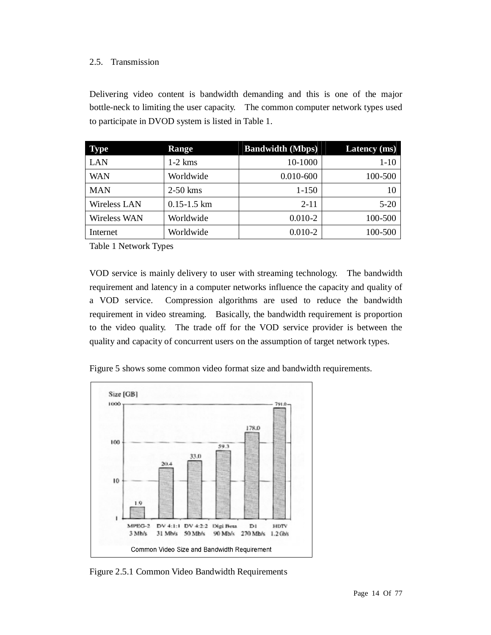## 2.5. Transmission

Delivering video content is bandwidth demanding and this is one of the major bottle-neck to limiting the user capacity. The common computer network types used to participate in DVOD system is listed in Table 1.

| <b>Type</b>  | Range           | <b>Bandwidth (Mbps)</b> | <b>Latency</b> (ms) |
|--------------|-----------------|-------------------------|---------------------|
| <b>LAN</b>   | $1-2$ kms       | 10-1000                 | $1-10$              |
| <b>WAN</b>   | Worldwide       | $0.010 - 600$           | 100-500             |
| <b>MAN</b>   | $2-50$ kms      | $1 - 150$               | 10                  |
| Wireless LAN | $0.15 - 1.5$ km | $2 - 11$                | $5 - 20$            |
| Wireless WAN | Worldwide       | $0.010 - 2$             | 100-500             |
| Internet     | Worldwide       | $0.010 - 2$             | 100-500             |

Table 1 Network Types

VOD service is mainly delivery to user with streaming technology. The bandwidth requirement and latency in a computer networks influence the capacity and quality of a VOD service. Compression algorithms are used to reduce the bandwidth requirement in video streaming. Basically, the bandwidth requirement is proportion to the video quality. The trade off for the VOD service provider is between the quality and capacity of concurrent users on the assumption of target network types.

Figure 5 shows some common video format size and bandwidth requirements.



Figure 2.5.1 Common Video Bandwidth Requirements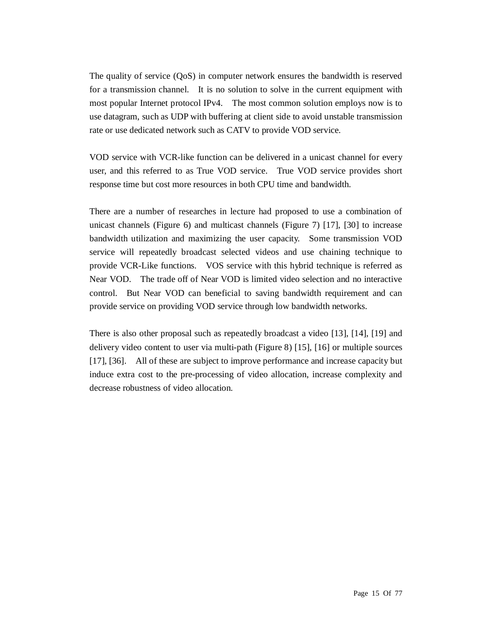The quality of service (QoS) in computer network ensures the bandwidth is reserved for a transmission channel. It is no solution to solve in the current equipment with most popular Internet protocol IPv4. The most common solution employs now is to use datagram, such as UDP with buffering at client side to avoid unstable transmission rate or use dedicated network such as CATV to provide VOD service.

VOD service with VCR-like function can be delivered in a unicast channel for every user, and this referred to as True VOD service. True VOD service provides short response time but cost more resources in both CPU time and bandwidth.

There are a number of researches in lecture had proposed to use a combination of unicast channels (Figure 6) and multicast channels (Figure 7) [17], [30] to increase bandwidth utilization and maximizing the user capacity. Some transmission VOD service will repeatedly broadcast selected videos and use chaining technique to provide VCR-Like functions. VOS service with this hybrid technique is referred as Near VOD. The trade off of Near VOD is limited video selection and no interactive control. But Near VOD can beneficial to saving bandwidth requirement and can provide service on providing VOD service through low bandwidth networks.

There is also other proposal such as repeatedly broadcast a video [13], [14], [19] and delivery video content to user via multi-path (Figure 8) [15], [16] or multiple sources [17], [36]. All of these are subject to improve performance and increase capacity but induce extra cost to the pre-processing of video allocation, increase complexity and decrease robustness of video allocation.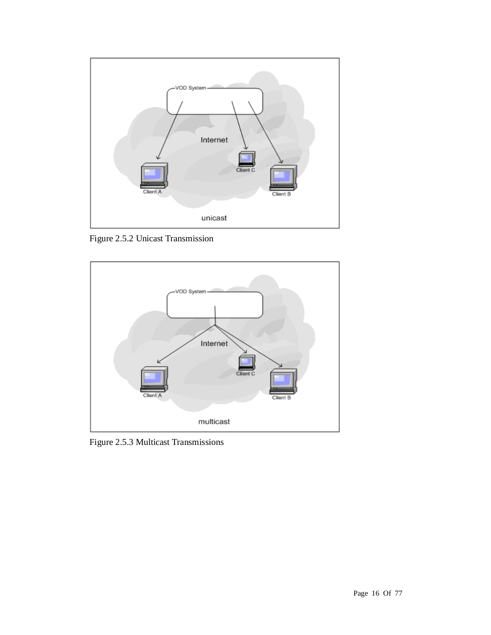

Figure 2.5.2 Unicast Transmission



Figure 2.5.3 Multicast Transmissions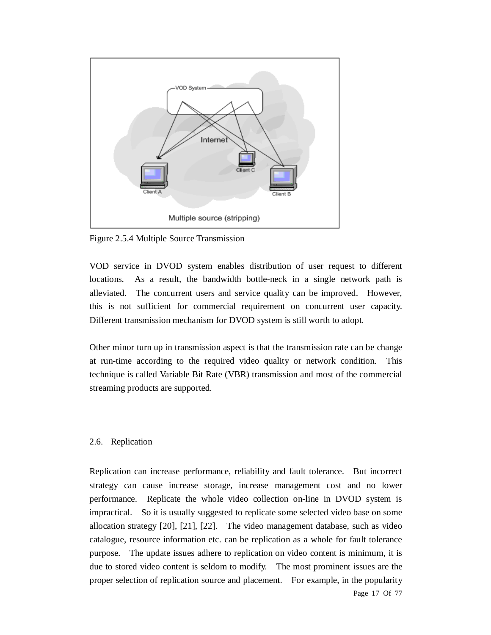

Figure 2.5.4 Multiple Source Transmission

VOD service in DVOD system enables distribution of user request to different locations. As a result, the bandwidth bottle-neck in a single network path is alleviated. The concurrent users and service quality can be improved. However, this is not sufficient for commercial requirement on concurrent user capacity. Different transmission mechanism for DVOD system is still worth to adopt.

Other minor turn up in transmission aspect is that the transmission rate can be change at run-time according to the required video quality or network condition. This technique is called Variable Bit Rate (VBR) transmission and most of the commercial streaming products are supported.

#### 2.6. Replication

Page 17 Of 77 Replication can increase performance, reliability and fault tolerance. But incorrect strategy can cause increase storage, increase management cost and no lower performance. Replicate the whole video collection on-line in DVOD system is impractical. So it is usually suggested to replicate some selected video base on some allocation strategy [20], [21], [22]. The video management database, such as video catalogue, resource information etc. can be replication as a whole for fault tolerance purpose. The update issues adhere to replication on video content is minimum, it is due to stored video content is seldom to modify. The most prominent issues are the proper selection of replication source and placement. For example, in the popularity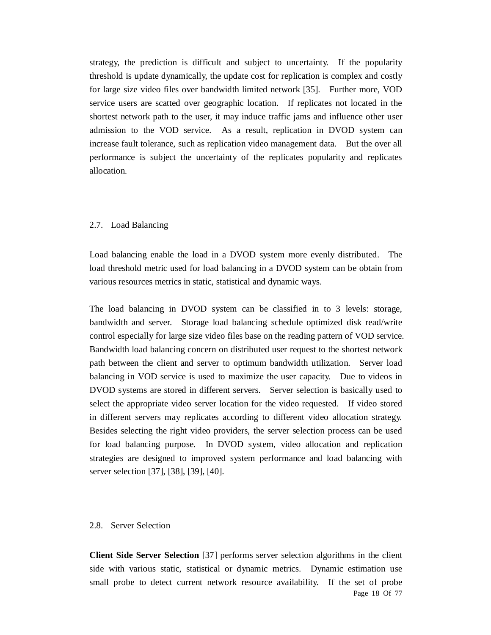strategy, the prediction is difficult and subject to uncertainty. If the popularity threshold is update dynamically, the update cost for replication is complex and costly for large size video files over bandwidth limited network [35]. Further more, VOD service users are scatted over geographic location. If replicates not located in the shortest network path to the user, it may induce traffic jams and influence other user admission to the VOD service. As a result, replication in DVOD system can increase fault tolerance, such as replication video management data. But the over all performance is subject the uncertainty of the replicates popularity and replicates allocation.

#### 2.7. Load Balancing

Load balancing enable the load in a DVOD system more evenly distributed. The load threshold metric used for load balancing in a DVOD system can be obtain from various resources metrics in static, statistical and dynamic ways.

The load balancing in DVOD system can be classified in to 3 levels: storage, bandwidth and server. Storage load balancing schedule optimized disk read/write control especially for large size video files base on the reading pattern of VOD service. Bandwidth load balancing concern on distributed user request to the shortest network path between the client and server to optimum bandwidth utilization. Server load balancing in VOD service is used to maximize the user capacity. Due to videos in DVOD systems are stored in different servers. Server selection is basically used to select the appropriate video server location for the video requested. If video stored in different servers may replicates according to different video allocation strategy. Besides selecting the right video providers, the server selection process can be used for load balancing purpose. In DVOD system, video allocation and replication strategies are designed to improved system performance and load balancing with server selection [37], [38], [39], [40].

#### 2.8. Server Selection

Page 18 Of 77 **Client Side Server Selection** [37] performs server selection algorithms in the client side with various static, statistical or dynamic metrics. Dynamic estimation use small probe to detect current network resource availability. If the set of probe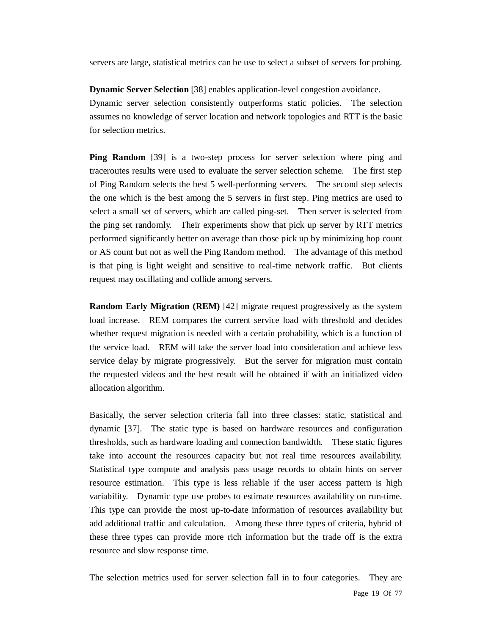servers are large, statistical metrics can be use to select a subset of servers for probing.

**Dynamic Server Selection** [38] enables application-level congestion avoidance. Dynamic server selection consistently outperforms static policies. The selection assumes no knowledge of server location and network topologies and RTT is the basic for selection metrics.

**Ping Random** [39] is a two-step process for server selection where ping and traceroutes results were used to evaluate the server selection scheme. The first step of Ping Random selects the best 5 well-performing servers. The second step selects the one which is the best among the 5 servers in first step. Ping metrics are used to select a small set of servers, which are called ping-set. Then server is selected from the ping set randomly. Their experiments show that pick up server by RTT metrics performed significantly better on average than those pick up by minimizing hop count or AS count but not as well the Ping Random method. The advantage of this method is that ping is light weight and sensitive to real-time network traffic. But clients request may oscillating and collide among servers.

**Random Early Migration (REM)** [42] migrate request progressively as the system load increase. REM compares the current service load with threshold and decides whether request migration is needed with a certain probability, which is a function of the service load. REM will take the server load into consideration and achieve less service delay by migrate progressively. But the server for migration must contain the requested videos and the best result will be obtained if with an initialized video allocation algorithm.

Basically, the server selection criteria fall into three classes: static, statistical and dynamic [37]. The static type is based on hardware resources and configuration thresholds, such as hardware loading and connection bandwidth. These static figures take into account the resources capacity but not real time resources availability. Statistical type compute and analysis pass usage records to obtain hints on server resource estimation. This type is less reliable if the user access pattern is high variability. Dynamic type use probes to estimate resources availability on run-time. This type can provide the most up-to-date information of resources availability but add additional traffic and calculation. Among these three types of criteria, hybrid of these three types can provide more rich information but the trade off is the extra resource and slow response time.

The selection metrics used for server selection fall in to four categories. They are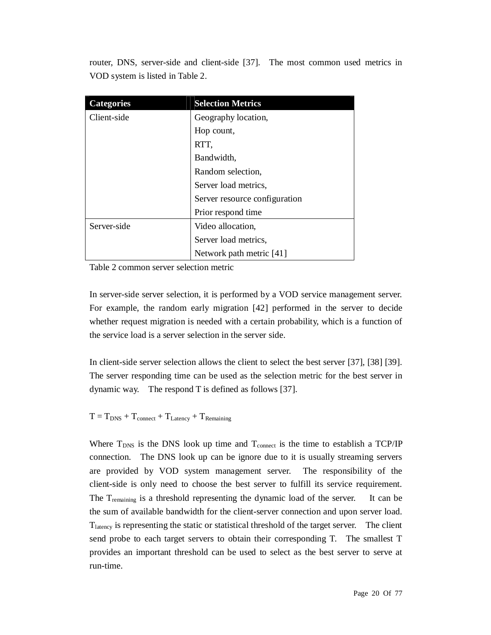router, DNS, server-side and client-side [37]. The most common used metrics in VOD system is listed in Table 2.

| <b>Categories</b> | <b>Selection Metrics</b>      |  |
|-------------------|-------------------------------|--|
| Client-side       | Geography location,           |  |
|                   | Hop count,                    |  |
|                   | RTT,                          |  |
|                   | Bandwidth,                    |  |
|                   | Random selection,             |  |
|                   | Server load metrics,          |  |
|                   | Server resource configuration |  |
|                   | Prior respond time            |  |
| Server-side       | Video allocation,             |  |
|                   | Server load metrics,          |  |
|                   | Network path metric [41]      |  |

Table 2 common server selection metric

In server-side server selection, it is performed by a VOD service management server. For example, the random early migration [42] performed in the server to decide whether request migration is needed with a certain probability, which is a function of the service load is a server selection in the server side.

In client-side server selection allows the client to select the best server [37], [38] [39]. The server responding time can be used as the selection metric for the best server in dynamic way. The respond T is defined as follows [37].

 $T = T_{DNS} + T_{connect} + T_{Latency} + T_{Remaining}$ 

Where  $T_{DNS}$  is the DNS look up time and  $T_{connect}$  is the time to establish a TCP/IP connection. The DNS look up can be ignore due to it is usually streaming servers are provided by VOD system management server. The responsibility of the client-side is only need to choose the best server to fulfill its service requirement. The T<sub>remaining</sub> is a threshold representing the dynamic load of the server. It can be the sum of available bandwidth for the client-server connection and upon server load. Tlatency is representing the static or statistical threshold of the target server. The client send probe to each target servers to obtain their corresponding T. The smallest T provides an important threshold can be used to select as the best server to serve at run-time.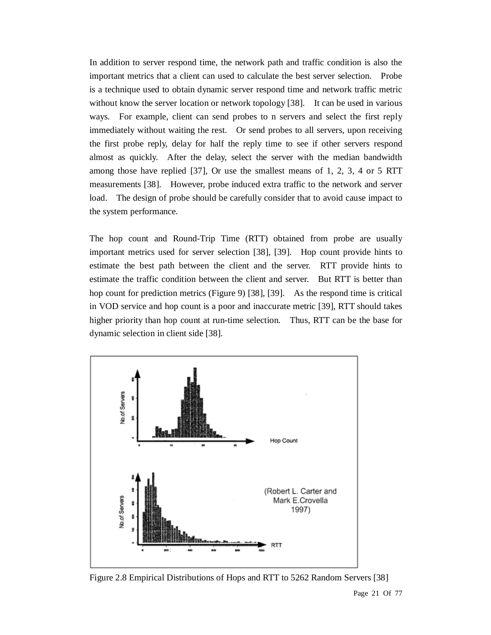In addition to server respond time, the network path and traffic condition is also the important metrics that a client can used to calculate the best server selection. Probe is a technique used to obtain dynamic server respond time and network traffic metric without know the server location or network topology [38]. It can be used in various ways. For example, client can send probes to n servers and select the first reply immediately without waiting the rest. Or send probes to all servers, upon receiving the first probe reply, delay for half the reply time to see if other servers respond almost as quickly. After the delay, select the server with the median bandwidth among those have replied [37], Or use the smallest means of 1, 2, 3, 4 or 5 RTT measurements [38]. However, probe induced extra traffic to the network and server load. The design of probe should be carefully consider that to avoid cause impact to the system performance.

The hop count and Round-Trip Time (RTT) obtained from probe are usually important metrics used for server selection [38], [39]. Hop count provide hints to estimate the best path between the client and the server. RTT provide hints to estimate the traffic condition between the client and server. But RTT is better than hop count for prediction metrics (Figure 9) [38], [39]. As the respond time is critical in VOD service and hop count is a poor and inaccurate metric [39], RTT should takes higher priority than hop count at run-time selection. Thus, RTT can be the base for dynamic selection in client side [38].



Figure 2.8 Empirical Distributions of Hops and RTT to 5262 Random Servers [38]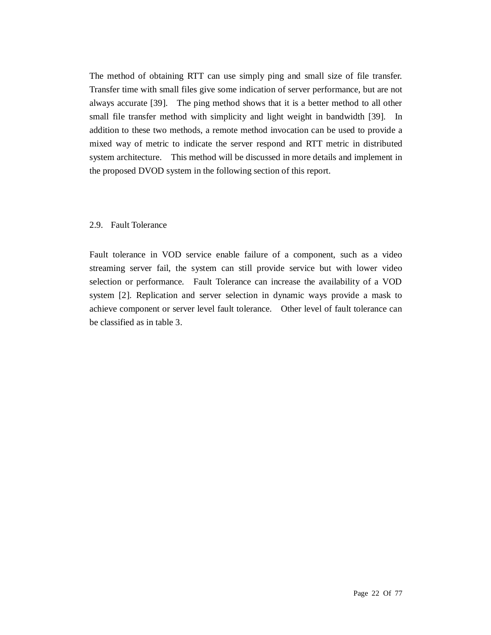The method of obtaining RTT can use simply ping and small size of file transfer. Transfer time with small files give some indication of server performance, but are not always accurate [39]. The ping method shows that it is a better method to all other small file transfer method with simplicity and light weight in bandwidth [39]. In addition to these two methods, a remote method invocation can be used to provide a mixed way of metric to indicate the server respond and RTT metric in distributed system architecture. This method will be discussed in more details and implement in the proposed DVOD system in the following section of this report.

#### 2.9. Fault Tolerance

Fault tolerance in VOD service enable failure of a component, such as a video streaming server fail, the system can still provide service but with lower video selection or performance. Fault Tolerance can increase the availability of a VOD system [2]. Replication and server selection in dynamic ways provide a mask to achieve component or server level fault tolerance. Other level of fault tolerance can be classified as in table 3.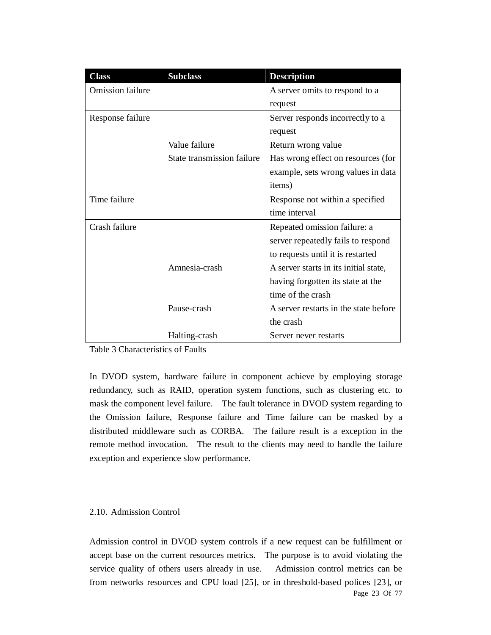| <b>Class</b>            | <b>Subclass</b>            | <b>Description</b>                    |
|-------------------------|----------------------------|---------------------------------------|
| <b>Omission failure</b> |                            | A server omits to respond to a        |
|                         |                            | request                               |
| Response failure        |                            | Server responds incorrectly to a      |
|                         |                            | request                               |
|                         | Value failure              | Return wrong value                    |
|                         | State transmission failure | Has wrong effect on resources (for    |
|                         |                            | example, sets wrong values in data    |
|                         |                            | items)                                |
| Time failure            |                            | Response not within a specified       |
|                         |                            | time interval                         |
| Crash failure           |                            | Repeated omission failure: a          |
|                         |                            | server repeatedly fails to respond    |
|                         |                            | to requests until it is restarted     |
|                         | Amnesia-crash              | A server starts in its initial state, |
|                         |                            | having forgotten its state at the     |
|                         |                            | time of the crash                     |
|                         | Pause-crash                | A server restarts in the state before |
|                         |                            | the crash                             |
|                         | Halting-crash              | Server never restarts                 |

Table 3 Characteristics of Faults

In DVOD system, hardware failure in component achieve by employing storage redundancy, such as RAID, operation system functions, such as clustering etc. to mask the component level failure. The fault tolerance in DVOD system regarding to the Omission failure, Response failure and Time failure can be masked by a distributed middleware such as CORBA. The failure result is a exception in the remote method invocation. The result to the clients may need to handle the failure exception and experience slow performance.

### 2.10. Admission Control

Page 23 Of 77 Admission control in DVOD system controls if a new request can be fulfillment or accept base on the current resources metrics. The purpose is to avoid violating the service quality of others users already in use. Admission control metrics can be from networks resources and CPU load [25], or in threshold-based polices [23], or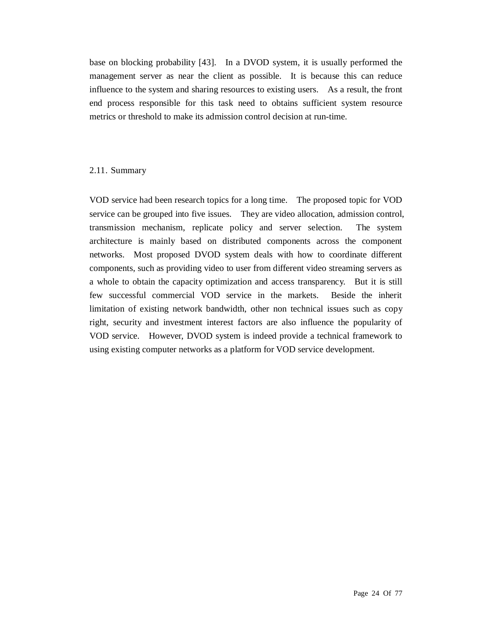base on blocking probability [43]. In a DVOD system, it is usually performed the management server as near the client as possible. It is because this can reduce influence to the system and sharing resources to existing users. As a result, the front end process responsible for this task need to obtains sufficient system resource metrics or threshold to make its admission control decision at run-time.

#### 2.11. Summary

VOD service had been research topics for a long time. The proposed topic for VOD service can be grouped into five issues. They are video allocation, admission control, transmission mechanism, replicate policy and server selection. The system architecture is mainly based on distributed components across the component networks. Most proposed DVOD system deals with how to coordinate different components, such as providing video to user from different video streaming servers as a whole to obtain the capacity optimization and access transparency. But it is still few successful commercial VOD service in the markets. Beside the inherit limitation of existing network bandwidth, other non technical issues such as copy right, security and investment interest factors are also influence the popularity of VOD service. However, DVOD system is indeed provide a technical framework to using existing computer networks as a platform for VOD service development.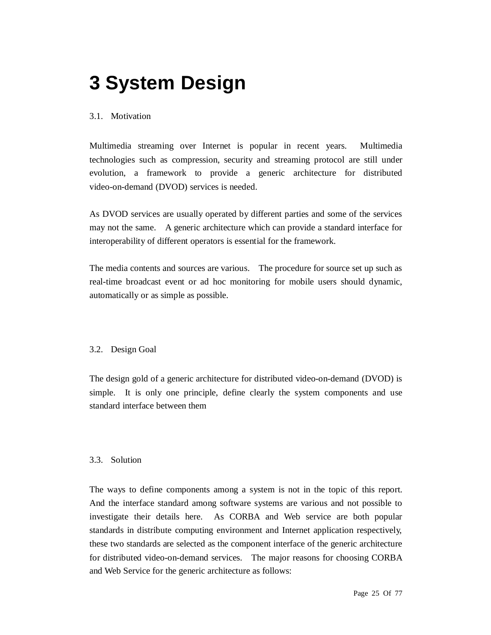# **3 System Design**

### 3.1. Motivation

Multimedia streaming over Internet is popular in recent years. Multimedia technologies such as compression, security and streaming protocol are still under evolution, a framework to provide a generic architecture for distributed video-on-demand (DVOD) services is needed.

As DVOD services are usually operated by different parties and some of the services may not the same. A generic architecture which can provide a standard interface for interoperability of different operators is essential for the framework.

The media contents and sources are various. The procedure for source set up such as real-time broadcast event or ad hoc monitoring for mobile users should dynamic, automatically or as simple as possible.

### 3.2. Design Goal

The design gold of a generic architecture for distributed video-on-demand (DVOD) is simple. It is only one principle, define clearly the system components and use standard interface between them

### 3.3. Solution

The ways to define components among a system is not in the topic of this report. And the interface standard among software systems are various and not possible to investigate their details here. As CORBA and Web service are both popular standards in distribute computing environment and Internet application respectively, these two standards are selected as the component interface of the generic architecture for distributed video-on-demand services. The major reasons for choosing CORBA and Web Service for the generic architecture as follows: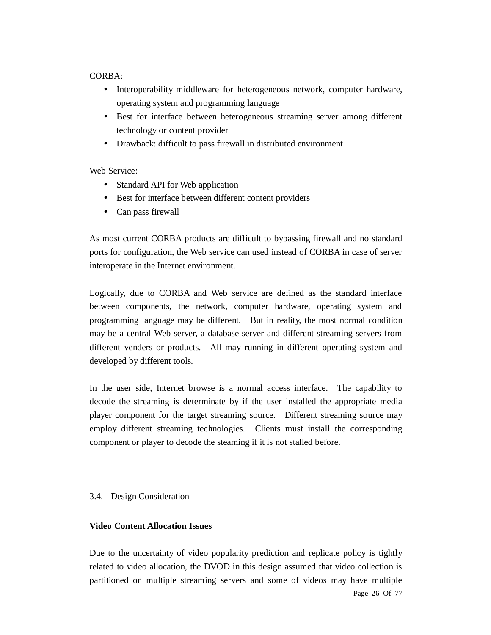#### CORBA:

- Interoperability middleware for heterogeneous network, computer hardware, operating system and programming language
- Best for interface between heterogeneous streaming server among different technology or content provider
- Drawback: difficult to pass firewall in distributed environment

Web Service:

- Standard API for Web application
- Best for interface between different content providers
- Can pass firewall

As most current CORBA products are difficult to bypassing firewall and no standard ports for configuration, the Web service can used instead of CORBA in case of server interoperate in the Internet environment.

Logically, due to CORBA and Web service are defined as the standard interface between components, the network, computer hardware, operating system and programming language may be different. But in reality, the most normal condition may be a central Web server, a database server and different streaming servers from different venders or products. All may running in different operating system and developed by different tools.

In the user side, Internet browse is a normal access interface. The capability to decode the streaming is determinate by if the user installed the appropriate media player component for the target streaming source. Different streaming source may employ different streaming technologies. Clients must install the corresponding component or player to decode the steaming if it is not stalled before.

### 3.4. Design Consideration

#### **Video Content Allocation Issues**

Page 26 Of 77 Due to the uncertainty of video popularity prediction and replicate policy is tightly related to video allocation, the DVOD in this design assumed that video collection is partitioned on multiple streaming servers and some of videos may have multiple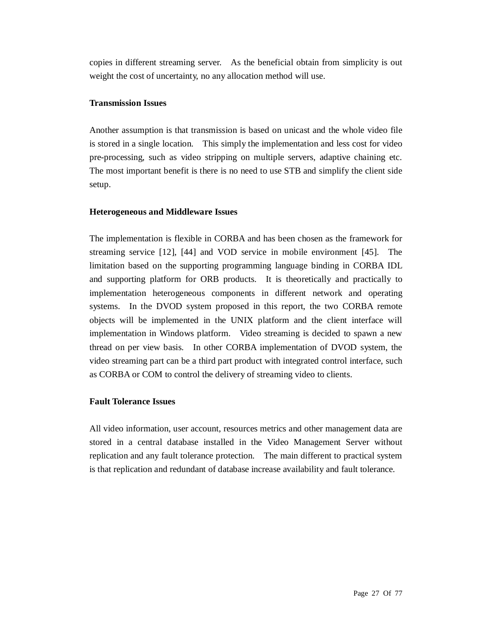copies in different streaming server. As the beneficial obtain from simplicity is out weight the cost of uncertainty, no any allocation method will use.

## **Transmission Issues**

Another assumption is that transmission is based on unicast and the whole video file is stored in a single location. This simply the implementation and less cost for video pre-processing, such as video stripping on multiple servers, adaptive chaining etc. The most important benefit is there is no need to use STB and simplify the client side setup.

## **Heterogeneous and Middleware Issues**

The implementation is flexible in CORBA and has been chosen as the framework for streaming service [12], [44] and VOD service in mobile environment [45]. The limitation based on the supporting programming language binding in CORBA IDL and supporting platform for ORB products. It is theoretically and practically to implementation heterogeneous components in different network and operating systems. In the DVOD system proposed in this report, the two CORBA remote objects will be implemented in the UNIX platform and the client interface will implementation in Windows platform. Video streaming is decided to spawn a new thread on per view basis. In other CORBA implementation of DVOD system, the video streaming part can be a third part product with integrated control interface, such as CORBA or COM to control the delivery of streaming video to clients.

# **Fault Tolerance Issues**

All video information, user account, resources metrics and other management data are stored in a central database installed in the Video Management Server without replication and any fault tolerance protection. The main different to practical system is that replication and redundant of database increase availability and fault tolerance.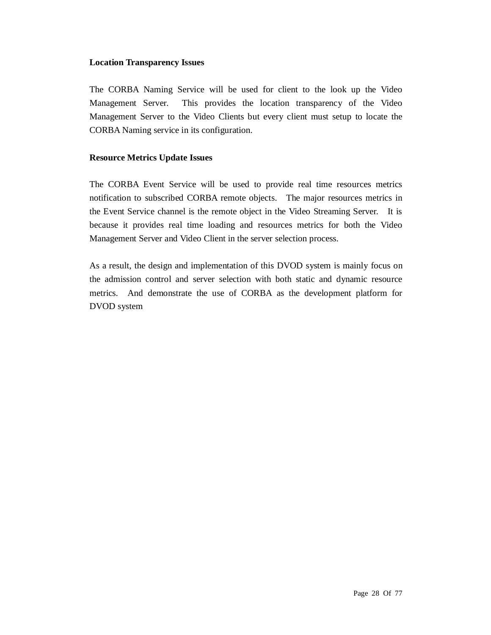#### **Location Transparency Issues**

The CORBA Naming Service will be used for client to the look up the Video Management Server. This provides the location transparency of the Video Management Server to the Video Clients but every client must setup to locate the CORBA Naming service in its configuration.

#### **Resource Metrics Update Issues**

The CORBA Event Service will be used to provide real time resources metrics notification to subscribed CORBA remote objects. The major resources metrics in the Event Service channel is the remote object in the Video Streaming Server. It is because it provides real time loading and resources metrics for both the Video Management Server and Video Client in the server selection process.

As a result, the design and implementation of this DVOD system is mainly focus on the admission control and server selection with both static and dynamic resource metrics. And demonstrate the use of CORBA as the development platform for DVOD system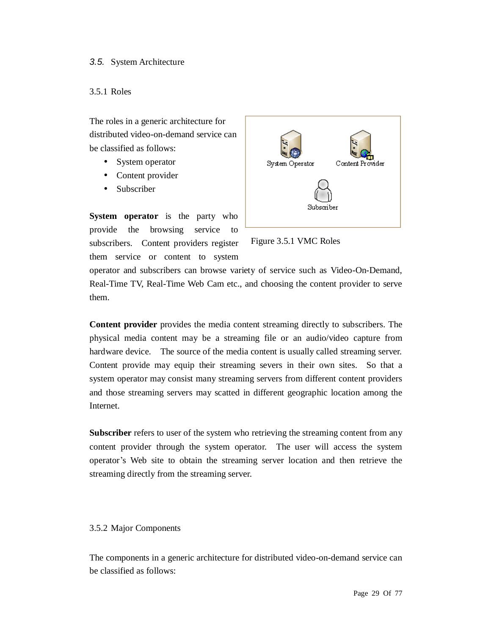### *3.5.* System Architecture

#### 3.5.1 Roles

The roles in a generic architecture for distributed video-on-demand service can be classified as follows:

- System operator
- Content provider
- Subscriber

**System operator** is the party who provide the browsing service to subscribers. Content providers register them service or content to system



Figure 3.5.1 VMC Roles

operator and subscribers can browse variety of service such as Video-On-Demand, Real-Time TV, Real-Time Web Cam etc., and choosing the content provider to serve them.

**Content provider** provides the media content streaming directly to subscribers. The physical media content may be a streaming file or an audio/video capture from hardware device. The source of the media content is usually called streaming server. Content provide may equip their streaming severs in their own sites. So that a system operator may consist many streaming servers from different content providers and those streaming servers may scatted in different geographic location among the Internet.

**Subscriber** refers to user of the system who retrieving the streaming content from any content provider through the system operator. The user will access the system operator's Web site to obtain the streaming server location and then retrieve the streaming directly from the streaming server.

### 3.5.2 Major Components

The components in a generic architecture for distributed video-on-demand service can be classified as follows: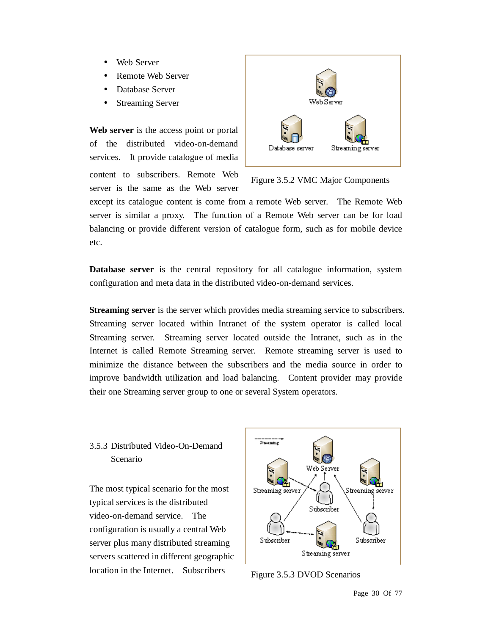- Web Server
- Remote Web Server
- Database Server
- Streaming Server

**Web server** is the access point or portal of the distributed video-on-demand services. It provide catalogue of media content to subscribers. Remote Web server is the same as the Web server



Figure 3.5.2 VMC Major Components

except its catalogue content is come from a remote Web server. The Remote Web server is similar a proxy. The function of a Remote Web server can be for load balancing or provide different version of catalogue form, such as for mobile device etc.

**Database server** is the central repository for all catalogue information, system configuration and meta data in the distributed video-on-demand services.

**Streaming server** is the server which provides media streaming service to subscribers. Streaming server located within Intranet of the system operator is called local Streaming server. Streaming server located outside the Intranet, such as in the Internet is called Remote Streaming server. Remote streaming server is used to minimize the distance between the subscribers and the media source in order to improve bandwidth utilization and load balancing. Content provider may provide their one Streaming server group to one or several System operators.

# 3.5.3 Distributed Video-On-Demand Scenario

The most typical scenario for the most typical services is the distributed video-on-demand service. The configuration is usually a central Web server plus many distributed streaming servers scattered in different geographic location in the Internet. Subscribers



Figure 3.5.3 DVOD Scenarios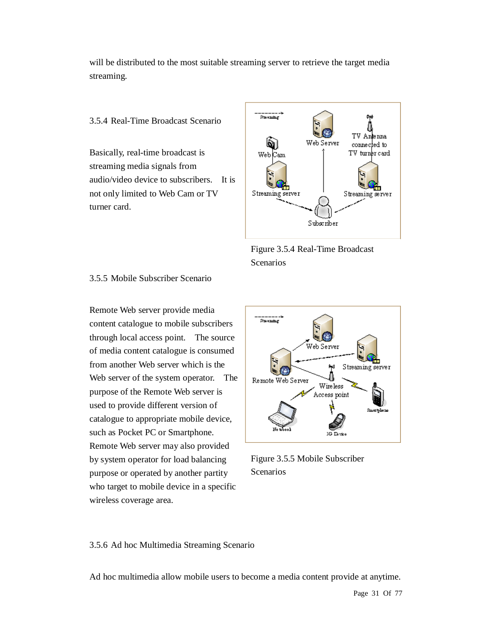will be distributed to the most suitable streaming server to retrieve the target media streaming.

3.5.4 Real-Time Broadcast Scenario

Basically, real-time broadcast is streaming media signals from audio/video device to subscribers. It is not only limited to Web Cam or TV turner card.



Figure 3.5.4 Real-Time Broadcast Scenarios

3.5.5 Mobile Subscriber Scenario

Remote Web server provide media content catalogue to mobile subscribers through local access point. The source of media content catalogue is consumed from another Web server which is the Web server of the system operator. The purpose of the Remote Web server is used to provide different version of catalogue to appropriate mobile device, such as Pocket PC or Smartphone. Remote Web server may also provided by system operator for load balancing purpose or operated by another partity who target to mobile device in a specific wireless coverage area.



Figure 3.5.5 Mobile Subscriber **Scenarios** 

3.5.6 Ad hoc Multimedia Streaming Scenario

Ad hoc multimedia allow mobile users to become a media content provide at anytime.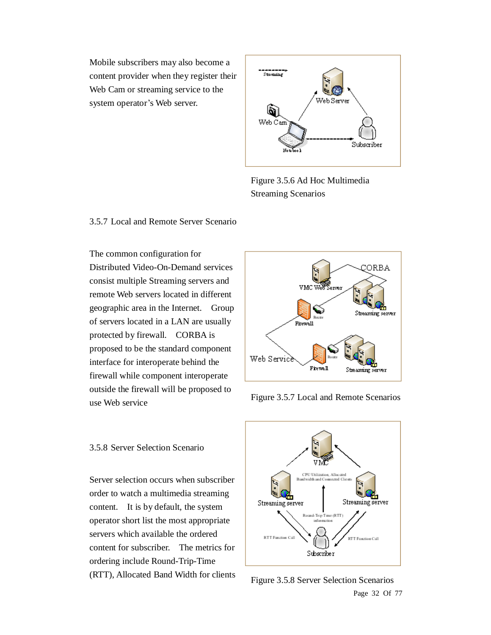Mobile subscribers may also become a content provider when they register their Web Cam or streaming service to the system operator's Web server.



Figure 3.5.6 Ad Hoc Multimedia Streaming Scenarios

#### 3.5.7 Local and Remote Server Scenario

The common configuration for Distributed Video-On-Demand services consist multiple Streaming servers and remote Web servers located in different geographic area in the Internet. Group of servers located in a LAN are usually protected by firewall. CORBA is proposed to be the standard component interface for interoperate behind the firewall while component interoperate outside the firewall will be proposed to use Web service



Figure 3.5.7 Local and Remote Scenarios

3.5.8 Server Selection Scenario

Server selection occurs when subscriber order to watch a multimedia streaming content. It is by default, the system operator short list the most appropriate servers which available the ordered content for subscriber. The metrics for ordering include Round-Trip-Time (RTT), Allocated Band Width for clients



Page 32 Of 77 Figure 3.5.8 Server Selection Scenarios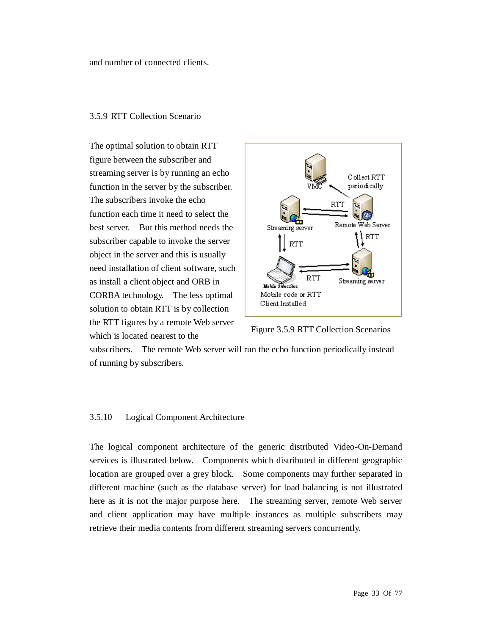and number of connected clients.

#### 3.5.9 RTT Collection Scenario

The optimal solution to obtain RTT figure between the subscriber and streaming server is by running an echo function in the server by the subscriber. The subscribers invoke the echo function each time it need to select the best server. But this method needs the subscriber capable to invoke the server object in the server and this is usually need installation of client software, such as install a client object and ORB in CORBA technology. The less optimal solution to obtain RTT is by collection the RTT figures by a remote Web server which is located nearest to the



Figure 3.5.9 RTT Collection Scenarios

subscribers. The remote Web server will run the echo function periodically instead of running by subscribers.

#### 3.5.10 Logical Component Architecture

The logical component architecture of the generic distributed Video-On-Demand services is illustrated below. Components which distributed in different geographic location are grouped over a grey block. Some components may further separated in different machine (such as the database server) for load balancing is not illustrated here as it is not the major purpose here. The streaming server, remote Web server and client application may have multiple instances as multiple subscribers may retrieve their media contents from different streaming servers concurrently.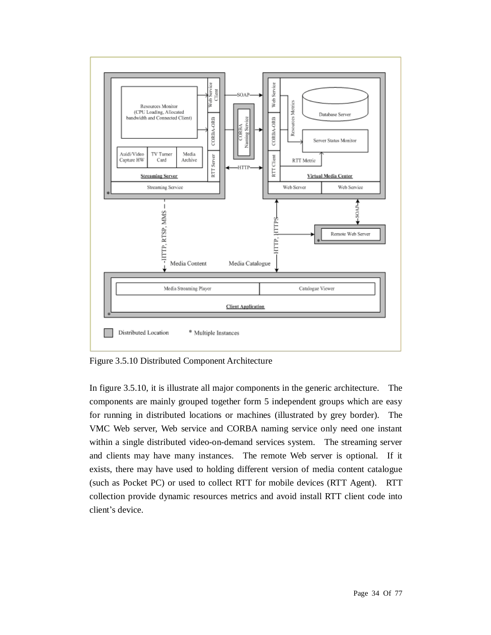

Figure 3.5.10 Distributed Component Architecture

In figure 3.5.10, it is illustrate all major components in the generic architecture. The components are mainly grouped together form 5 independent groups which are easy for running in distributed locations or machines (illustrated by grey border). The VMC Web server, Web service and CORBA naming service only need one instant within a single distributed video-on-demand services system. The streaming server and clients may have many instances. The remote Web server is optional. If it exists, there may have used to holding different version of media content catalogue (such as Pocket PC) or used to collect RTT for mobile devices (RTT Agent). RTT collection provide dynamic resources metrics and avoid install RTT client code into client's device.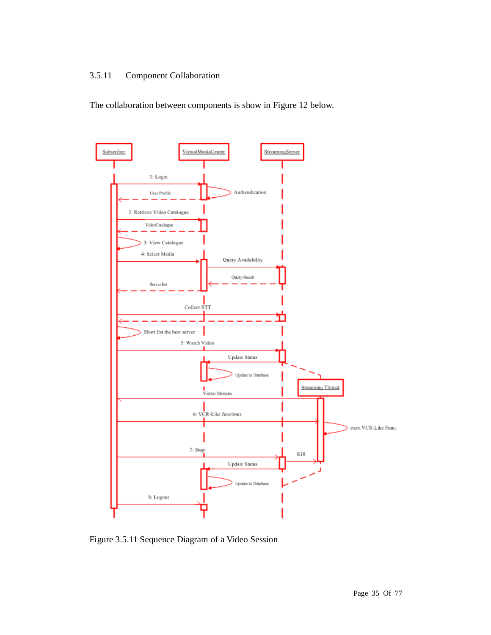# 3.5.11 Component Collaboration

The collaboration between components is show in Figure 12 below.



Figure 3.5.11 Sequence Diagram of a Video Session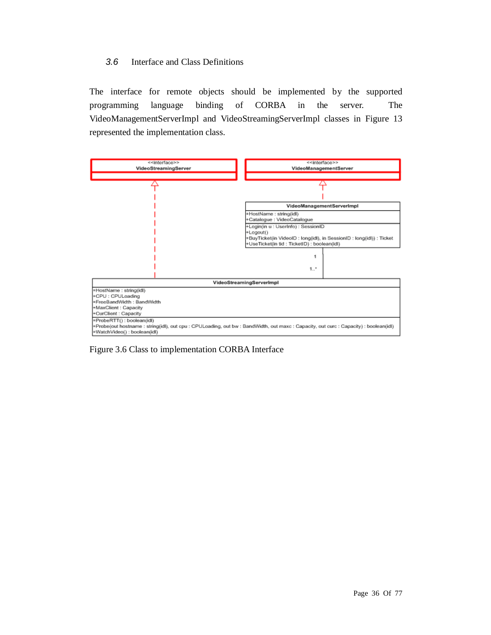## *3.6* Interface and Class Definitions

The interface for remote objects should be implemented by the supported programming language binding of CORBA in the server. The VideoManagementServerImpl and VideoStreamingServerImpl classes in Figure 13 represented the implementation class.



Figure 3.6 Class to implementation CORBA Interface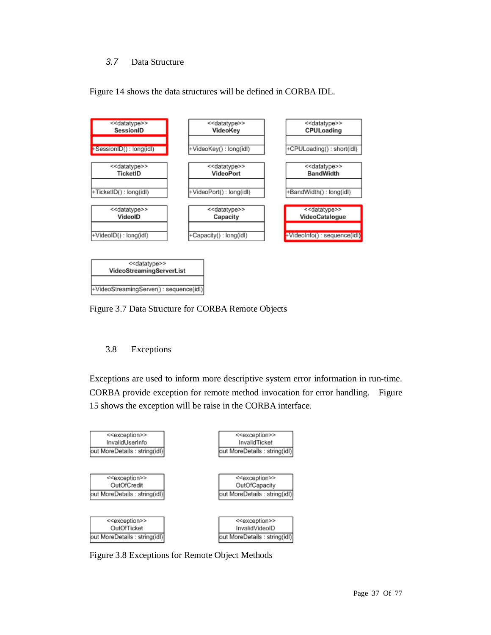## *3.7* Data Structure





Figure 3.7 Data Structure for CORBA Remote Objects

# 3.8 Exceptions

Exceptions are used to inform more descriptive system error information in run-time. CORBA provide exception for remote method invocation for error handling. Figure 15 shows the exception will be raise in the CORBA interface.



Figure 3.8 Exceptions for Remote Object Methods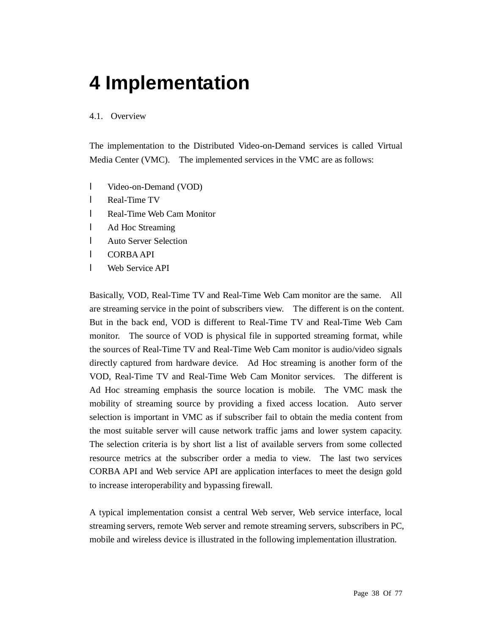# **4 Implementation**

## 4.1. Overview

The implementation to the Distributed Video-on-Demand services is called Virtual Media Center (VMC). The implemented services in the VMC are as follows:

- l Video-on-Demand (VOD)
- l Real-Time TV
- l Real-Time Web Cam Monitor
- l Ad Hoc Streaming
- l Auto Server Selection
- l CORBA API
- l Web Service API

Basically, VOD, Real-Time TV and Real-Time Web Cam monitor are the same. All are streaming service in the point of subscribers view. The different is on the content. But in the back end, VOD is different to Real-Time TV and Real-Time Web Cam monitor. The source of VOD is physical file in supported streaming format, while the sources of Real-Time TV and Real-Time Web Cam monitor is audio/video signals directly captured from hardware device. Ad Hoc streaming is another form of the VOD, Real-Time TV and Real-Time Web Cam Monitor services. The different is Ad Hoc streaming emphasis the source location is mobile. The VMC mask the mobility of streaming source by providing a fixed access location. Auto server selection is important in VMC as if subscriber fail to obtain the media content from the most suitable server will cause network traffic jams and lower system capacity. The selection criteria is by short list a list of available servers from some collected resource metrics at the subscriber order a media to view. The last two services CORBA API and Web service API are application interfaces to meet the design gold to increase interoperability and bypassing firewall.

A typical implementation consist a central Web server, Web service interface, local streaming servers, remote Web server and remote streaming servers, subscribers in PC, mobile and wireless device is illustrated in the following implementation illustration.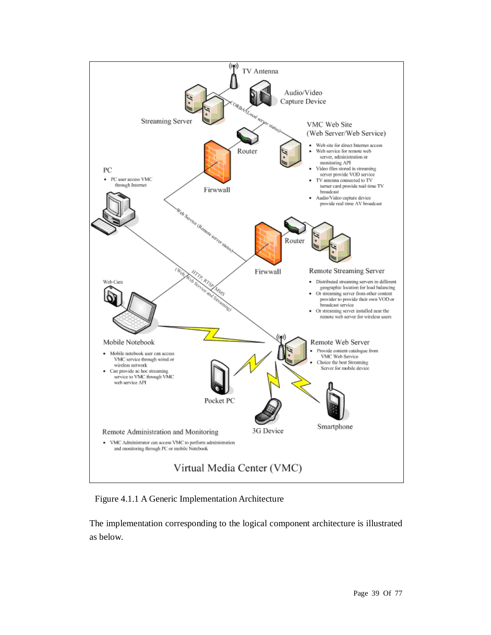

Figure 4.1.1 A Generic Implementation Architecture

The implementation corresponding to the logical component architecture is illustrated as below.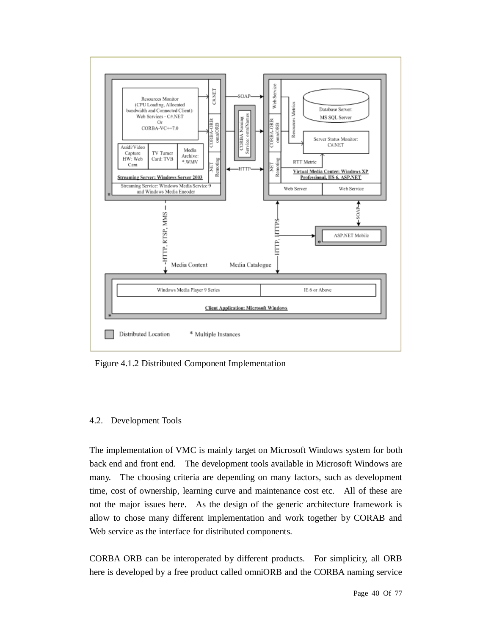

Figure 4.1.2 Distributed Component Implementation

## 4.2. Development Tools

The implementation of VMC is mainly target on Microsoft Windows system for both back end and front end. The development tools available in Microsoft Windows are many. The choosing criteria are depending on many factors, such as development time, cost of ownership, learning curve and maintenance cost etc. All of these are not the major issues here. As the design of the generic architecture framework is allow to chose many different implementation and work together by CORAB and Web service as the interface for distributed components.

CORBA ORB can be interoperated by different products. For simplicity, all ORB here is developed by a free product called omniORB and the CORBA naming service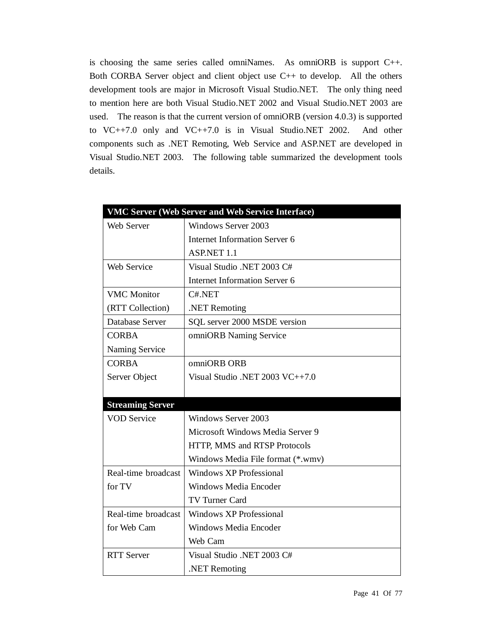is choosing the same series called omniNames. As omniORB is support C++. Both CORBA Server object and client object use C++ to develop. All the others development tools are major in Microsoft Visual Studio.NET. The only thing need to mention here are both Visual Studio.NET 2002 and Visual Studio.NET 2003 are used. The reason is that the current version of omniORB (version 4.0.3) is supported to VC++7.0 only and VC++7.0 is in Visual Studio.NET 2002. And other components such as .NET Remoting, Web Service and ASP.NET are developed in Visual Studio.NET 2003. The following table summarized the development tools details.

|                         | VMC Server (Web Server and Web Service Interface) |  |  |  |  |  |  |
|-------------------------|---------------------------------------------------|--|--|--|--|--|--|
| Web Server              | Windows Server 2003                               |  |  |  |  |  |  |
|                         | Internet Information Server 6                     |  |  |  |  |  |  |
|                         | ASP.NET 1.1                                       |  |  |  |  |  |  |
| Web Service             | Visual Studio .NET 2003 C#                        |  |  |  |  |  |  |
|                         | <b>Internet Information Server 6</b>              |  |  |  |  |  |  |
| <b>VMC</b> Monitor      | C#.NET                                            |  |  |  |  |  |  |
| (RTT Collection)        | .NET Remoting                                     |  |  |  |  |  |  |
| Database Server         | SQL server 2000 MSDE version                      |  |  |  |  |  |  |
| <b>CORBA</b>            | omniORB Naming Service                            |  |  |  |  |  |  |
| Naming Service          |                                                   |  |  |  |  |  |  |
| <b>CORBA</b>            | omniORB ORB                                       |  |  |  |  |  |  |
| Server Object           | Visual Studio .NET 2003 VC++7.0                   |  |  |  |  |  |  |
|                         |                                                   |  |  |  |  |  |  |
| <b>Streaming Server</b> |                                                   |  |  |  |  |  |  |
| <b>VOD Service</b>      | Windows Server 2003                               |  |  |  |  |  |  |
|                         | Microsoft Windows Media Server 9                  |  |  |  |  |  |  |
|                         | HTTP, MMS and RTSP Protocols                      |  |  |  |  |  |  |
|                         | Windows Media File format (*.wmv)                 |  |  |  |  |  |  |
| Real-time broadcast     | <b>Windows XP Professional</b>                    |  |  |  |  |  |  |
| for TV                  | <b>Windows Media Encoder</b>                      |  |  |  |  |  |  |
|                         | TV Turner Card                                    |  |  |  |  |  |  |
| Real-time broadcast     | Windows XP Professional                           |  |  |  |  |  |  |
| for Web Cam             | <b>Windows Media Encoder</b>                      |  |  |  |  |  |  |
|                         | Web Cam                                           |  |  |  |  |  |  |
| <b>RTT</b> Server       | Visual Studio .NET 2003 C#                        |  |  |  |  |  |  |
|                         | .NET Remoting                                     |  |  |  |  |  |  |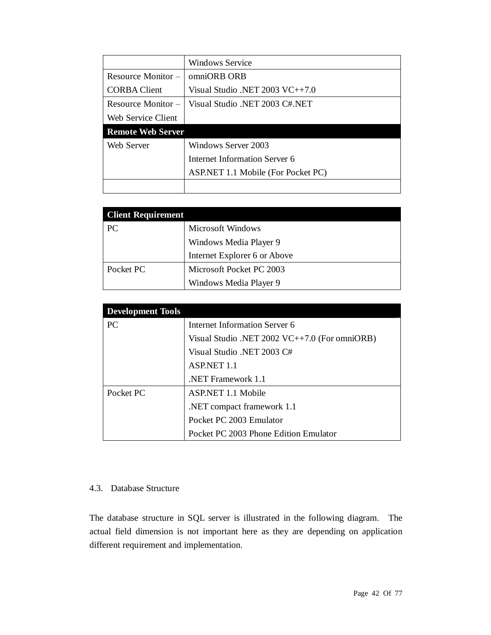|                          | <b>Windows Service</b>             |  |  |  |  |  |
|--------------------------|------------------------------------|--|--|--|--|--|
| Resource Monitor –       | omniORB ORB                        |  |  |  |  |  |
| <b>CORBA Client</b>      | Visual Studio .NET 2003 $VC++7.0$  |  |  |  |  |  |
| Resource Monitor –       | Visual Studio .NET 2003 C#.NET     |  |  |  |  |  |
| Web Service Client       |                                    |  |  |  |  |  |
| <b>Remote Web Server</b> |                                    |  |  |  |  |  |
| Web Server               | Windows Server 2003                |  |  |  |  |  |
|                          | Internet Information Server 6      |  |  |  |  |  |
|                          | ASP.NET 1.1 Mobile (For Pocket PC) |  |  |  |  |  |
|                          |                                    |  |  |  |  |  |

| <b>Client Requirement</b> |                              |  |  |  |  |  |  |
|---------------------------|------------------------------|--|--|--|--|--|--|
| PC                        | Microsoft Windows            |  |  |  |  |  |  |
|                           | Windows Media Player 9       |  |  |  |  |  |  |
|                           | Internet Explorer 6 or Above |  |  |  |  |  |  |
| Pocket PC                 | Microsoft Pocket PC 2003     |  |  |  |  |  |  |
|                           | Windows Media Player 9       |  |  |  |  |  |  |

| <b>Development Tools</b> |                                                 |  |  |  |  |  |  |
|--------------------------|-------------------------------------------------|--|--|--|--|--|--|
| PC                       | Internet Information Server 6                   |  |  |  |  |  |  |
|                          | Visual Studio .NET 2002 $VC++7.0$ (For omniORB) |  |  |  |  |  |  |
|                          | Visual Studio .NET 2003 C#                      |  |  |  |  |  |  |
|                          | <b>ASP.NET 1.1</b>                              |  |  |  |  |  |  |
|                          | NET Framework 1.1                               |  |  |  |  |  |  |
| Pocket PC                | ASP.NET 1.1 Mobile                              |  |  |  |  |  |  |
|                          | .NET compact framework 1.1                      |  |  |  |  |  |  |
|                          | Pocket PC 2003 Emulator                         |  |  |  |  |  |  |
|                          | Pocket PC 2003 Phone Edition Emulator           |  |  |  |  |  |  |

#### 4.3. Database Structure

The database structure in SQL server is illustrated in the following diagram. The actual field dimension is not important here as they are depending on application different requirement and implementation.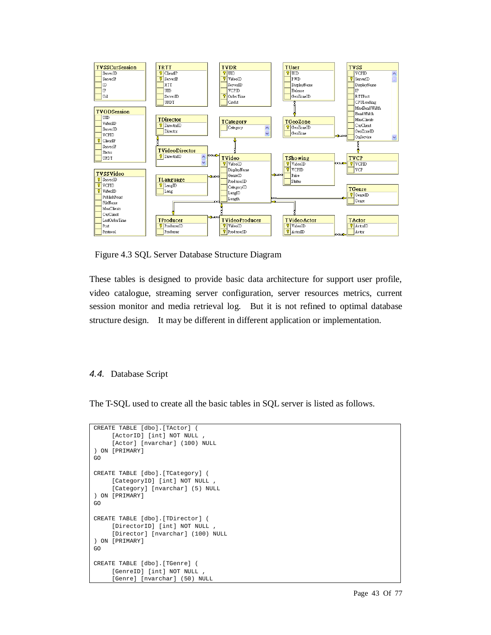

Figure 4.3 SQL Server Database Structure Diagram

These tables is designed to provide basic data architecture for support user profile, video catalogue, streaming server configuration, server resources metrics, current session monitor and media retrieval log. But it is not refined to optimal database structure design. It may be different in different application or implementation.

## *4.4.* Database Script

The T-SQL used to create all the basic tables in SQL server is listed as follows.

```
CREATE TABLE [dbo].[TActor] ( 
     [ActorID] [int] NOT NULL , 
     [Actor] [nvarchar] (100) NULL 
) ON [PRIMARY] 
GO 
CREATE TABLE [dbo].[TCategory] ( 
     [CategoryID] [int] NOT NULL , 
     [Category] [nvarchar] (5) NULL 
) ON [PRIMARY] 
GO 
CREATE TABLE [dbo].[TDirector] ( 
     [DirectorID] [int] NOT NULL , 
     [Director] [nvarchar] (100) NULL 
) ON [PRIMARY] 
GO 
CREATE TABLE [dbo].[TGenre] ( 
     [GenreID] [int] NOT NULL , 
     [Genre] [nvarchar] (50) NULL
```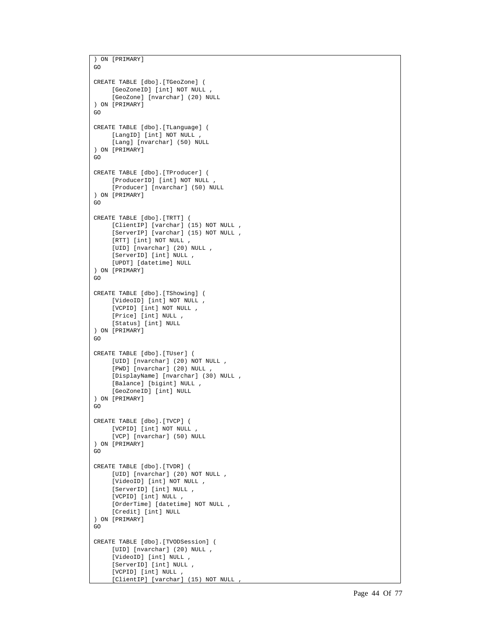```
) ON [PRIMARY] 
GO 
CREATE TABLE [dbo].[TGeoZone] ( 
    [GeoZoneID] [int] NOT NULL , 
     [GeoZone] [nvarchar] (20) NULL 
) ON [PRIMARY] 
GO 
CREATE TABLE [dbo].[TLanguage] ( 
     [LangID] [int] NOT NULL , 
     [Lang] [nvarchar] (50) NULL 
) ON [PRIMARY] 
GO 
CREATE TABLE [dbo].[TProducer] ( 
    [ProducerID] [int] NOT NULL , 
     [Producer] [nvarchar] (50) NULL 
) ON [PRIMARY] 
G<sub>O</sub>CREATE TABLE [dbo].[TRTT] ( 
    [ClientIP] [varchar] (15) NOT NULL , 
     [ServerIP] [varchar] (15) NOT NULL , 
     [RTT] [int] NOT NULL , 
     [UID] [nvarchar] (20) NULL , 
     [ServerID] [int] NULL , 
     [UPDT] [datetime] NULL 
) ON [PRIMARY] 
GO 
CREATE TABLE [dbo].[TShowing] ( 
     [VideoID] [int] NOT NULL , 
     [VCPID] [int] NOT NULL , 
    [Price] [int] NULL , 
    [Status] [int] NULL 
) ON [PRIMARY] 
GO 
CREATE TABLE [dbo].[TUser] ( 
    [UID] [nvarchar] (20) NOT NULL , 
     [PWD] [nvarchar] (20) NULL , 
     [DisplayName] [nvarchar] (30) NULL , 
    [Balance] [bigint] NULL , 
    [GeoZoneID] [int] NULL 
) ON [PRIMARY] 
GO 
CREATE TABLE [dbo].[TVCP] ( 
    [VCPID] [int] NOT NULL , 
     [VCP] [nvarchar] (50) NULL 
) ON [PRIMARY] 
GO 
CREATE TABLE [dbo].[TVDR] ( 
    [UID] [nvarchar] (20) NOT NULL , 
     [VideoID] [int] NOT NULL , 
    [ServerID] [int] NULL , 
     [VCPID] [int] NULL , 
     [OrderTime] [datetime] NOT NULL , 
     [Credit] [int] NULL 
) ON [PRIMARY] 
GO 
CREATE TABLE [dbo].[TVODSession] ( 
    [UID] [nvarchar] (20) NULL , 
     [VideoID] [int] NULL , 
     [ServerID] [int] NULL , 
     [VCPID] [int] NULL , 
     [ClientIP] [varchar] (15) NOT NULL ,
```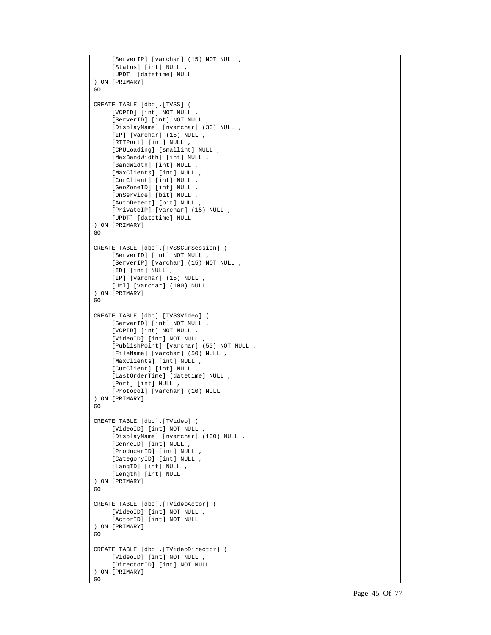```
[ServerIP] [varchar] (15) NOT NULL , 
     [Status] [int] NULL , 
     [UPDT] [datetime] NULL 
) ON [PRIMARY] 
GO 
CREATE TABLE [dbo].[TVSS] ( 
     [VCPID] [int] NOT NULL , 
     [ServerID] [int] NOT NULL , 
     [DisplayName] [nvarchar] (30) NULL , 
     [IP] [varchar] (15) NULL , 
     [RTTPort] [int] NULL , 
     [CPULoading] [smallint] NULL , 
     [MaxBandWidth] [int] NULL , 
     [BandWidth] [int] NULL , 
     [MaxClients] [int] NULL , 
     [CurClient] [int] NULL , 
     [GeoZoneID] [int] NULL , 
     [OnService] [bit] NULL , 
     [AutoDetect] [bit] NULL , 
     [PrivateIP] [varchar] (15) NULL , 
     [UPDT] [datetime] NULL 
) ON [PRIMARY] 
GO 
CREATE TABLE [dbo].[TVSSCurSession] ( 
    [ServerID] [int] NOT NULL , 
     [ServerIP] [varchar] (15) NOT NULL , 
     [ID] [int] NULL , 
     [IP] [varchar] (15) NULL , 
     [Url] [varchar] (100) NULL 
) ON [PRIMARY] 
GO 
CREATE TABLE [dbo].[TVSSVideo] ( 
    [ServerID] [int] NOT NULL , 
     [VCPID] [int] NOT NULL , 
     [VideoID] [int] NOT NULL , 
     [PublishPoint] [varchar] (50) NOT NULL , 
    [FileName] [varchar] (50) NULL , 
     [MaxClients] [int] NULL , 
     [CurClient] [int] NULL , 
     [LastOrderTime] [datetime] NULL , 
     [Port] [int] NULL , 
     [Protocol] [varchar] (10) NULL 
) ON [PRIMARY] 
GO 
CREATE TABLE [dbo].[TVideo] ( 
    [VideoID] [int] NOT NULL , 
     [DisplayName] [nvarchar] (100) NULL , 
     [GenreID] [int] NULL , 
     [ProducerID] [int] NULL , 
     [CategoryID] [int] NULL , 
     [LangID] [int] NULL , 
     [Length] [int] NULL 
) ON [PRIMARY] 
GO 
CREATE TABLE [dbo].[TVideoActor] ( 
     [VideoID] [int] NOT NULL , 
     [ActorID] [int] NOT NULL 
) ON [PRIMARY] 
GO 
CREATE TABLE [dbo].[TVideoDirector] ( 
    [VideoID] [int] NOT NULL , 
     [DirectorID] [int] NOT NULL 
) ON [PRIMARY] 
GO
```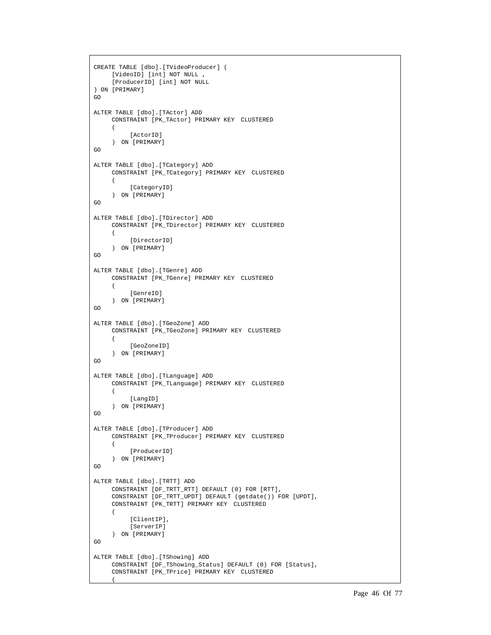```
CREATE TABLE [dbo].[TVideoProducer] ( 
    [VideoID] [int] NOT NULL , 
     [ProducerID] [int] NOT NULL 
) ON [PRIMARY] 
GO 
ALTER TABLE [dbo].[TActor] ADD 
     CONSTRAINT [PK_TActor] PRIMARY KEY CLUSTERED 
     ( 
           [ActorID] 
     ) ON [PRIMARY] 
G<sub>O</sub>ALTER TABLE [dbo].[TCategory] ADD 
     CONSTRAINT [PK_TCategory] PRIMARY KEY CLUSTERED 
     ( 
           [CategoryID] 
     ) ON [PRIMARY] 
G<sub>O</sub>ALTER TABLE [dbo].[TDirector] ADD 
    CONSTRAINT [PK_TDirector] PRIMARY KEY CLUSTERED 
     \left([DirectorID]
     ) ON [PRIMARY] 
GO 
ALTER TABLE [dbo].[TGenre] ADD 
    CONSTRAINT [PK_TGenre] PRIMARY KEY CLUSTERED 
     ( 
           [GenreID] 
     ) ON [PRIMARY] 
GO 
ALTER TABLE [dbo].[TGeoZone] ADD 
     CONSTRAINT [PK_TGeoZone] PRIMARY KEY CLUSTERED 
     \left( [GeoZoneID] 
     ) ON [PRIMARY] 
GO 
ALTER TABLE [dbo].[TLanguage] ADD 
     CONSTRAINT [PK_TLanguage] PRIMARY KEY CLUSTERED 
     ( 
          [LangID]
     ) ON [PRIMARY] 
GO 
ALTER TABLE [dbo].[TProducer] ADD 
     CONSTRAINT [PK_TProducer] PRIMARY KEY CLUSTERED 
     \left( [ProducerID] 
     ) ON [PRIMARY] 
GO 
ALTER TABLE [dbo].[TRTT] ADD 
    CONSTRAINT [DF_TRTT_RTT] DEFAULT (0) FOR [RTT], 
     CONSTRAINT [DF_TRTT_UPDT] DEFAULT (getdate()) FOR [UPDT], 
     CONSTRAINT [PK_TRTT] PRIMARY KEY CLUSTERED 
     ( 
          [ClientIP].
           [ServerIP] 
     ) ON [PRIMARY] 
GO 
ALTER TABLE [dbo].[TShowing] ADD 
     CONSTRAINT [DF_TShowing_Status] DEFAULT (0) FOR [Status], 
     CONSTRAINT [PK_TPrice] PRIMARY KEY CLUSTERED 
     \sqrt{ }
```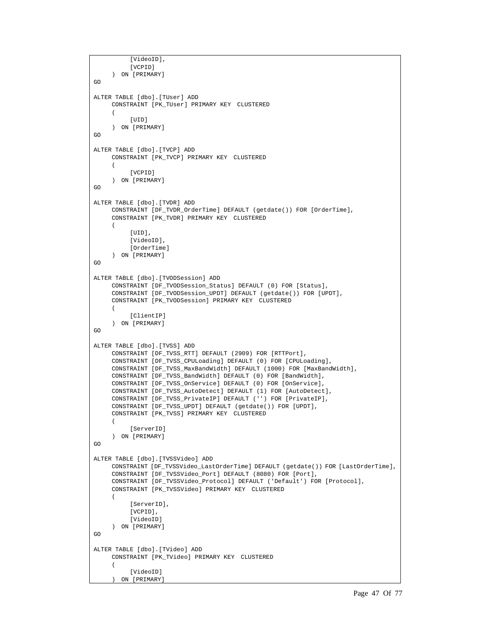```
 [VideoID], 
          [VCPID]
     ) ON [PRIMARY] 
GO 
ALTER TABLE [dbo].[TUser] ADD 
     CONSTRAINT [PK_TUser] PRIMARY KEY CLUSTERED 
     ( 
          [IIIDI]) ON [PRIMARY] 
GO 
ALTER TABLE [dbo].[TVCP] ADD 
     CONSTRAINT [PK_TVCP] PRIMARY KEY CLUSTERED 
     ( 
          [VCPID]
     ) ON [PRIMARY] 
GO 
ALTER TABLE [dbo].[TVDR] ADD 
     CONSTRAINT [DF_TVDR_OrderTime] DEFAULT (getdate()) FOR [OrderTime], 
     CONSTRAINT [PK_TVDR] PRIMARY KEY CLUSTERED 
     ( 
           [UID], 
          [VideoID],
           [OrderTime] 
     ) ON [PRIMARY] 
GO 
ALTER TABLE [dbo].[TVODSession] ADD 
     CONSTRAINT [DF_TVODSession_Status] DEFAULT (0) FOR [Status], 
     CONSTRAINT [DF_TVODSession_UPDT] DEFAULT (getdate()) FOR [UPDT], 
     CONSTRAINT [PK_TVODSession] PRIMARY KEY CLUSTERED 
     ( 
           [ClientIP] 
     ) ON [PRIMARY] 
GO 
ALTER TABLE [dbo].[TVSS] ADD 
     CONSTRAINT [DF_TVSS_RTT] DEFAULT (2909) FOR [RTTPort], 
     CONSTRAINT [DF_TVSS_CPULoading] DEFAULT (0) FOR [CPULoading], 
     CONSTRAINT [DF_TVSS_MaxBandWidth] DEFAULT (1000) FOR [MaxBandWidth], 
     CONSTRAINT [DF_TVSS_BandWidth] DEFAULT (0) FOR [BandWidth], 
     CONSTRAINT [DF_TVSS_OnService] DEFAULT (0) FOR [OnService], 
     CONSTRAINT [DF_TVSS_AutoDetect] DEFAULT (1) FOR [AutoDetect], 
     CONSTRAINT [DF_TVSS_PrivateIP] DEFAULT ('') FOR [PrivateIP], 
     CONSTRAINT [DF_TVSS_UPDT] DEFAULT (getdate()) FOR [UPDT], 
     CONSTRAINT [PK_TVSS] PRIMARY KEY CLUSTERED 
     ( 
          [ServerID]
     ) ON [PRIMARY] 
G<sub>O</sub>ALTER TABLE [dbo].[TVSSVideo] ADD 
     CONSTRAINT [DF_TVSSVideo_LastOrderTime] DEFAULT (getdate()) FOR [LastOrderTime],
     CONSTRAINT [DF_TVSSVideo_Port] DEFAULT (8080) FOR [Port], 
     CONSTRAINT [DF_TVSSVideo_Protocol] DEFAULT ('Default') FOR [Protocol], 
     CONSTRAINT [PK_TVSSVideo] PRIMARY KEY CLUSTERED 
     ( 
           [ServerID], 
           [VCPID], 
          [VideoID]
     ) ON [PRIMARY] 
GO 
ALTER TABLE [dbo].[TVideo] ADD 
     CONSTRAINT [PK_TVideo] PRIMARY KEY CLUSTERED 
     ( 
           [VideoID] 
     ) ON [PRIMARY]
```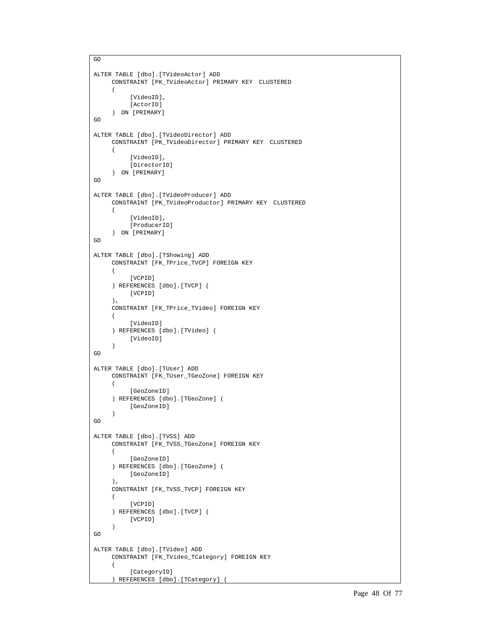```
GO 
ALTER TABLE [dbo].[TVideoActor] ADD 
     CONSTRAINT [PK_TVideoActor] PRIMARY KEY CLUSTERED 
     ( 
            [VideoID], 
          [ActorID]
     ) ON [PRIMARY] 
GO 
ALTER TABLE [dbo].[TVideoDirector] ADD 
     CONSTRAINT [PK_TVideoDirector] PRIMARY KEY CLUSTERED 
     ( 
            [VideoID], 
           [DirectorID] 
     ) ON [PRIMARY] 
GO 
ALTER TABLE [dbo].[TVideoProducer] ADD 
     CONSTRAINT [PK_TVideoProductor] PRIMARY KEY CLUSTERED 
     ( 
            [VideoID], 
           [ProducerID] 
     ) ON [PRIMARY] 
GO 
ALTER TABLE [dbo].[TShowing] ADD 
     CONSTRAINT [FK_TPrice_TVCP] FOREIGN KEY 
     ( 
           [VCPID] 
     ) REFERENCES [dbo].[TVCP] ( 
           [VCPID] 
     ), 
     CONSTRAINT [FK_TPrice_TVideo] FOREIGN KEY 
     ( 
           [VideoID] 
     ) REFERENCES [dbo].[TVideo] ( 
           [VideoID] 
     ) 
GO 
ALTER TABLE [dbo].[TUser] ADD 
     CONSTRAINT [FK_TUser_TGeoZone] FOREIGN KEY 
     ( 
           [GeoZoneID] 
     ) REFERENCES [dbo].[TGeoZone] ( 
           [GeoZoneID] 
     ) 
GO 
ALTER TABLE [dbo].[TVSS] ADD 
     CONSTRAINT [FK_TVSS_TGeoZone] FOREIGN KEY 
     ( 
           [GeoZoneID] 
     ) REFERENCES [dbo].[TGeoZone] ( 
           [GeoZoneID] 
     ), 
     CONSTRAINT [FK_TVSS_TVCP] FOREIGN KEY 
     ( 
           [VCPID] 
     ) REFERENCES [dbo].[TVCP] ( 
          [VCPID]
     ) 
GO 
ALTER TABLE [dbo].[TVideo] ADD 
     CONSTRAINT [FK_TVideo_TCategory] FOREIGN KEY 
     ( 
           [CategoryID] 
     ) REFERENCES [dbo].[TCategory] (
```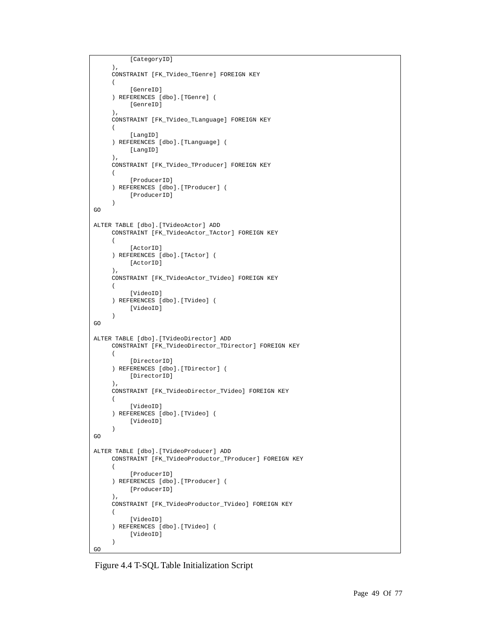```
 [CategoryID] 
     ), 
     CONSTRAINT [FK_TVideo_TGenre] FOREIGN KEY 
     ( 
            [GenreID] 
     ) REFERENCES [dbo].[TGenre] ( 
            [GenreID] 
     ), 
     CONSTRAINT [FK_TVideo_TLanguage] FOREIGN KEY 
     ( 
            [LangID] 
     ) REFERENCES [dbo].[TLanguage] ( 
           [LangID] 
     ), 
     CONSTRAINT [FK_TVideo_TProducer] FOREIGN KEY 
     ( 
            [ProducerID] 
     ) REFERENCES [dbo].[TProducer] ( 
           [ProducerID] 
     \lambdaGO 
ALTER TABLE [dbo].[TVideoActor] ADD 
     CONSTRAINT [FK_TVideoActor_TActor] FOREIGN KEY 
     ( 
            [ActorID] 
     ) REFERENCES [dbo].[TActor] ( 
           [ActorID] 
     ), 
     CONSTRAINT [FK_TVideoActor_TVideo] FOREIGN KEY 
     ( 
            [VideoID] 
     ) REFERENCES [dbo].[TVideo] ( 
            [VideoID] 
     \lambdaGO 
ALTER TABLE [dbo].[TVideoDirector] ADD 
     CONSTRAINT [FK_TVideoDirector_TDirector] FOREIGN KEY 
     ( 
            [DirectorID] 
     ) REFERENCES [dbo].[TDirector] ( 
           [DirectorID] 
     \lambda.
     CONSTRAINT [FK_TVideoDirector_TVideo] FOREIGN KEY 
     ( 
            [VideoID] 
     ) REFERENCES [dbo].[TVideo] ( 
            [VideoID] 
     ) 
GO 
ALTER TABLE [dbo].[TVideoProducer] ADD 
     CONSTRAINT [FK_TVideoProductor_TProducer] FOREIGN KEY 
     ( 
            [ProducerID] 
     ) REFERENCES [dbo].[TProducer] ( 
           [ProducerID] 
     ), 
     CONSTRAINT [FK_TVideoProductor_TVideo] FOREIGN KEY 
     ( 
            [VideoID] 
     ) REFERENCES [dbo].[TVideo] ( 
           [VideoID] 
     ) 
GO
```
Figure 4.4 T-SQL Table Initialization Script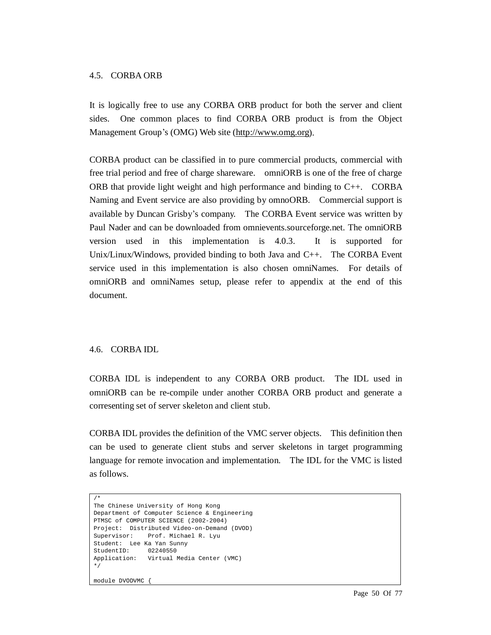#### 4.5. CORBA ORB

It is logically free to use any CORBA ORB product for both the server and client sides. One common places to find CORBA ORB product is from the Object Management Group's (OMG) Web site [\(http://www.omg.org](http://www.omg.org)).

CORBA product can be classified in to pure commercial products, commercial with free trial period and free of charge shareware. omniORB is one of the free of charge ORB that provide light weight and high performance and binding to  $C_{++}$ . CORBA Naming and Event service are also providing by omnoORB. Commercial support is available by Duncan Grisby's company. The CORBA Event service was written by Paul Nader and can be downloaded from omnievents.sourceforge.net. The omniORB version used in this implementation is 4.0.3. It is supported for Unix/Linux/Windows, provided binding to both Java and  $C_{++}$ . The CORBA Event service used in this implementation is also chosen omniNames. For details of omniORB and omniNames setup, please refer to appendix at the end of this document.

## 4.6. CORBA IDL

CORBA IDL is independent to any CORBA ORB product. The IDL used in omniORB can be re-compile under another CORBA ORB product and generate a corresenting set of server skeleton and client stub.

CORBA IDL provides the definition of the VMC server objects. This definition then can be used to generate client stubs and server skeletons in target programming language for remote invocation and implementation. The IDL for the VMC is listed as follows.

```
/* 
The Chinese University of Hong Kong 
Department of Computer Science & Engineering 
PTMSC of COMPUTER SCIENCE (2002-2004) 
Project: Distributed Video-on-Demand (DVOD) 
Supervisor: Prof. Michael R. Lyu 
Student: Lee Ka Yan Sunny<br>StudentID: 02240550
StudentID:
Application: Virtual Media Center (VMC) 
*/
```

```
module DVODVMC {
```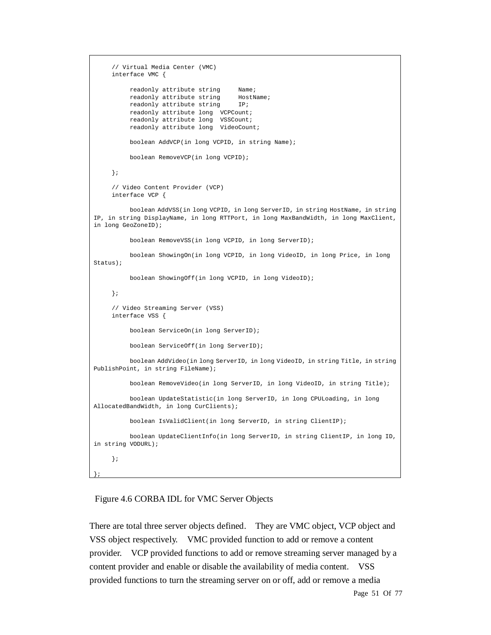```
// Virtual Media Center (VMC) 
     interface VMC { 
          readonly attribute string Name;
          readonly attribute string HostName;
         readonly attribute string IP;
          readonly attribute long VCPCount; 
           readonly attribute long VSSCount; 
           readonly attribute long VideoCount; 
           boolean AddVCP(in long VCPID, in string Name); 
           boolean RemoveVCP(in long VCPID); 
     }; 
     // Video Content Provider (VCP) 
     interface VCP { 
           boolean AddVSS(in long VCPID, in long ServerID, in string HostName, in string 
IP, in string DisplayName, in long RTTPort, in long MaxBandWidth, in long MaxClient, 
in long GeoZoneID); 
           boolean RemoveVSS(in long VCPID, in long ServerID); 
           boolean ShowingOn(in long VCPID, in long VideoID, in long Price, in long 
Status); 
           boolean ShowingOff(in long VCPID, in long VideoID); 
    }; 
     // Video Streaming Server (VSS) 
     interface VSS { 
           boolean ServiceOn(in long ServerID); 
           boolean ServiceOff(in long ServerID); 
           boolean AddVideo(in long ServerID, in long VideoID, in string Title, in string 
PublishPoint, in string FileName); 
           boolean RemoveVideo(in long ServerID, in long VideoID, in string Title); 
           boolean UpdateStatistic(in long ServerID, in long CPULoading, in long 
AllocatedBandWidth, in long CurClients); 
           boolean IsValidClient(in long ServerID, in string ClientIP); 
           boolean UpdateClientInfo(in long ServerID, in string ClientIP, in long ID, 
in string VODURL); 
     }; 
};
```
#### Figure 4.6 CORBA IDL for VMC Server Objects

There are total three server objects defined. They are VMC object, VCP object and VSS object respectively. VMC provided function to add or remove a content provider. VCP provided functions to add or remove streaming server managed by a content provider and enable or disable the availability of media content. VSS provided functions to turn the streaming server on or off, add or remove a media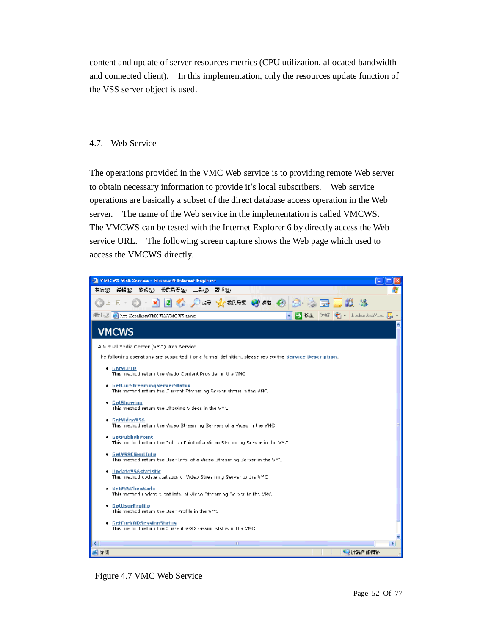content and update of server resources metrics (CPU utilization, allocated bandwidth and connected client). In this implementation, only the resources update function of the VSS server object is used.

## 4.7. Web Service

The operations provided in the VMC Web service is to providing remote Web server to obtain necessary information to provide it's local subscribers. Web service operations are basically a subset of the direct database access operation in the Web server. The name of the Web service in the implementation is called VMCWS. The VMCWS can be tested with the Internet Explorer 6 by directly access the Web service URL. The following screen capture shows the Web page which used to access the VMCWS directly.



Figure 4.7 VMC Web Service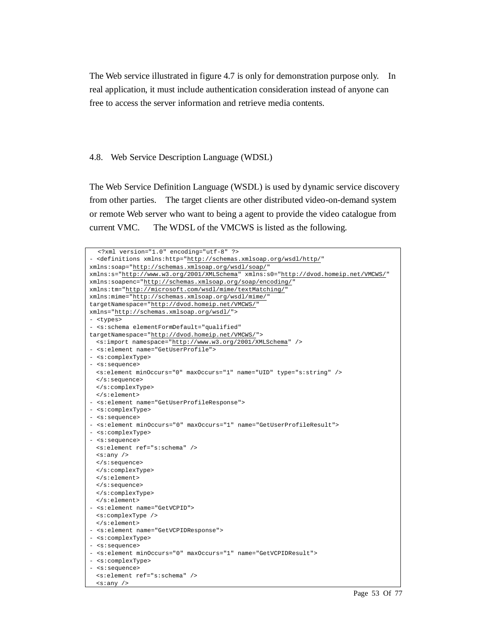The Web service illustrated in figure 4.7 is only for demonstration purpose only. In real application, it must include authentication consideration instead of anyone can free to access the server information and retrieve media contents.

#### 4.8. Web Service Description Language (WDSL)

The Web Service Definition Language (WSDL) is used by dynamic service discovery from other parties. The target clients are other distributed video-on-demand system or remote Web server who want to being a agent to provide the video catalogue from current VMC. The WDSL of the VMCWS is listed as the following.

| xml version="1.0" encoding="utf-8" ?                                                        |
|---------------------------------------------------------------------------------------------|
| - <definitions <="" td="" xmlns:http="http://schemas.xmlsoap.org/wsdl/http/"></definitions> |
| xmlns:soap="http://schemas.xmlsoap.org/wsdl/soap/"                                          |
| xmlns:s="http://www.w3.org/2001/XMLSchema" xmlns:s0="http://dvod.homeip.net/VMCWS/"         |
| xmlns:soapenc="http://schemas.xmlsoap.org/soap/encoding/"                                   |
| xmlns:tm="http://microsoft.com/wsdl/mime/textMatching/"                                     |
| xmlns:mime="http://schemas.xmlsoap.org/wsdl/mime/"                                          |
| targetNamespace="http://dvod.homeip.net/VMCWS/"                                             |
| xmlns="http://schemas.xmlsoap.org/wsdl/">                                                   |
| - <types></types>                                                                           |
| - <s:schema <="" elementformdefault="qualified" td=""></s:schema>                           |
| targetNamespace="http://dvod.homeip.net/VMCWS/">                                            |
| <s:import namespace="http://www.w3.org/2001/XMLSchema"></s:import>                          |
| - <s:element name="GetUserProfile"></s:element>                                             |
| - <s:complextype></s:complextype>                                                           |
| - <s:sequence></s:sequence>                                                                 |
| <s:element maxoccurs="1" minoccurs="0" name="UID" type="s:string"></s:element>              |
| $\langle$ s: sequence>                                                                      |
|                                                                                             |
| $\langle$ s:element>                                                                        |
| - <s:element name="GetUserProfileResponse"></s:element>                                     |
| - <s:complextype></s:complextype>                                                           |
| - <s:sequence></s:sequence>                                                                 |
| - <s:element maxoccurs="1" minoccurs="0" name="GetUserProfileResult"></s:element>           |
| - <s:complextype></s:complextype>                                                           |
| - <s:sequence></s:sequence>                                                                 |
| <s:element ref="s:schema"></s:element>                                                      |
| $\langle$ s: any />                                                                         |
| $\langle$ s: sequence>                                                                      |
|                                                                                             |
| $\langle$ s:element>                                                                        |
| $\langle$ s: sequence>                                                                      |
|                                                                                             |
| $\langle$ s:element>                                                                        |
| - <s:element name="GetVCPID"></s:element>                                                   |
| <s:complextype></s:complextype>                                                             |
| $\langle$ s:element>                                                                        |
| - <s:element name="GetVCPIDResponse"></s:element>                                           |
| - <s:complextype></s:complextype>                                                           |
| - <s:sequence></s:sequence>                                                                 |
| - <s:element maxoccurs="1" minoccurs="0" name="GetVCPIDResult"></s:element>                 |
| - <s:complextype></s:complextype>                                                           |
| - <s:sequence></s:sequence>                                                                 |
| <s:element ref="s:schema"></s:element>                                                      |
| $\langle s : any \rangle$                                                                   |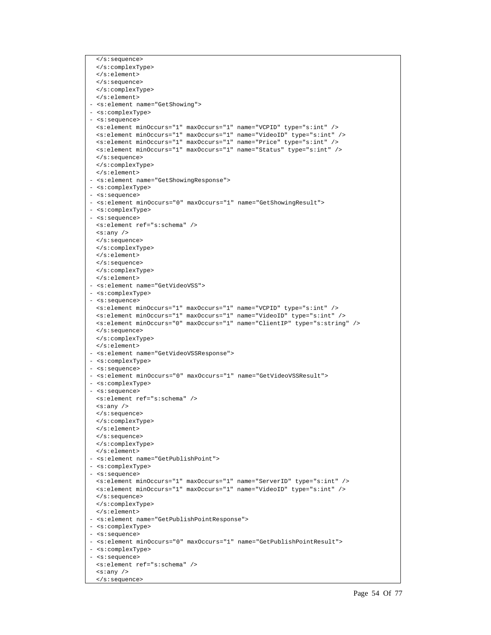```
</s:sequence> 
  </s:complexType> 
 </s:element> 
 </s:sequence> 
 </s:complexType> 
 </s:element> 
- <s:element name="GetShowing"> 
- <s:complexType> 
- <s:sequence> 
 <s:element minOccurs="1" maxOccurs="1" name="VCPID" type="s:int" /> 
 <s:element minOccurs="1" maxOccurs="1" name="VideoID" type="s:int" /> 
 <s:element minOccurs="1" maxOccurs="1" name="Price" type="s:int" /> 
 <s:element minOccurs="1" maxOccurs="1" name="Status" type="s:int" /> 
 </s:sequence> 
 </s:complexType> 
 </s:element> 
- <s:element name="GetShowingResponse"> 
- <s:complexType> 
- <s:sequence> 
- <s:element minOccurs="0" maxOccurs="1" name="GetShowingResult"> 
- <s:complexType> 
- <s:sequence> 
 <s:element ref="s:schema" /> 
 <s:any /> 
 </s:sequence> 
 </s:complexType> 
 </s:element> 
 </s:sequence> 
 </s:complexType> 
 </s:element> 
- <s:element name="GetVideoVSS"> 
- <s:complexType> 
- <s:sequence> 
 <s:element minOccurs="1" maxOccurs="1" name="VCPID" type="s:int" /> 
 <s:element minOccurs="1" maxOccurs="1" name="VideoID" type="s:int" /> 
 <s:element minOccurs="0" maxOccurs="1" name="ClientIP" type="s:string" /> 
 </s:sequence> 
 </s:complexType> 
 </s:element> 
- <s:element name="GetVideoVSSResponse"> 
- <s:complexType> 
- <s:sequence> 
- <s:element minOccurs="0" maxOccurs="1" name="GetVideoVSSResult"> 
- <s:complexType> 
- <s:sequence> 
 <s:element ref="s:schema" /> 
 <s:any /> 
 </s:sequence> 
 </s:complexType> 
 </s:element> 
 </s:sequence> 
 </s:complexType> 
 </s:element> 
- <s:element name="GetPublishPoint"> 
- <s:complexType> 
- <s:sequence> 
 <s:element minOccurs="1" maxOccurs="1" name="ServerID" type="s:int" /> 
 <s:element minOccurs="1" maxOccurs="1" name="VideoID" type="s:int" /> 
 </s:sequence> 
 </s:complexType> 
 </s:element> 
- <s:element name="GetPublishPointResponse"> 
- <s:complexType> 
- <s:sequence> 
- <s:element minOccurs="0" maxOccurs="1" name="GetPublishPointResult"> 
- <s:complexType> 
- <s:sequence> 
 <s:element ref="s:schema" /> 
 <s:any /> 
  </s:sequence>
```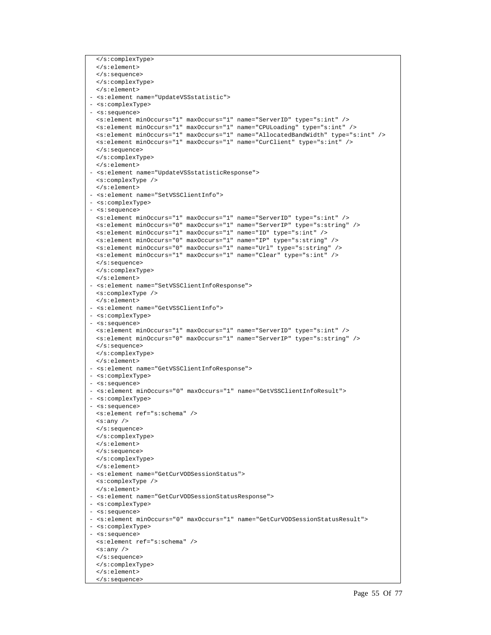```
</s:complexType> 
  </s:element> 
 </s:sequence> 
 </s:complexType> 
 </s:element> 
- <s:element name="UpdateVSSstatistic"> 
- <s:complexType> 
- <s:sequence> 
 <s:element minOccurs="1" maxOccurs="1" name="ServerID" type="s:int" /> 
 <s:element minOccurs="1" maxOccurs="1" name="CPULoading" type="s:int" /> 
  <s:element minOccurs="1" maxOccurs="1" name="AllocatedBandWidth" type="s:int" /> 
 <s:element minOccurs="1" maxOccurs="1" name="CurClient" type="s:int" /> 
 </s:sequence> 
 </s:complexType> 
 </s:element> 
- <s:element name="UpdateVSSstatisticResponse"> 
 <s:complexType /> 
 </s:element> 
- <s:element name="SetVSSClientInfo"> 
- <s:complexType> 
- <s:sequence> 
 <s:element minOccurs="1" maxOccurs="1" name="ServerID" type="s:int" /> 
 <s:element minOccurs="0" maxOccurs="1" name="ServerIP" type="s:string" /> 
 <s:element minOccurs="1" maxOccurs="1" name="ID" type="s:int" /> 
 <s:element minOccurs="0" maxOccurs="1" name="IP" type="s:string" /> 
 <s:element minOccurs="0" maxOccurs="1" name="Url" type="s:string" /> 
 <s:element minOccurs="1" maxOccurs="1" name="Clear" type="s:int" /> 
 </s:sequence> 
 </s:complexType> 
 </s:element> 
- <s:element name="SetVSSClientInfoResponse"> 
 <s:complexType /> 
 </s:element> 
- <s:element name="GetVSSClientInfo"> 
- <s:complexType> 
- <s:sequence> 
 <s:element minOccurs="1" maxOccurs="1" name="ServerID" type="s:int" /> 
 <s:element minOccurs="0" maxOccurs="1" name="ServerIP" type="s:string" /> 
 </s:sequence> 
 </s:complexType> 
 </s:element> 
- <s:element name="GetVSSClientInfoResponse"> 
- <s:complexType> 
- <s:sequence> 
- <s:element minOccurs="0" maxOccurs="1" name="GetVSSClientInfoResult"> 
- <s:complexType> 
- <s:sequence> 
 <s:element ref="s:schema" /> 
 <s:any /> 
 </s:sequence> 
 </s:complexType> 
 </s:element> 
 </s:sequence> 
 </s:complexType> 
 </s:element> 
- <s:element name="GetCurVODSessionStatus"> 
 <s:complexType /> 
 </s:element> 
- <s:element name="GetCurVODSessionStatusResponse"> 
- <s:complexType> 
- <s:sequence> 
- <s:element minOccurs="0" maxOccurs="1" name="GetCurVODSessionStatusResult"> 
- <s:complexType> 
- <s:sequence> 
 <s:element ref="s:schema" /> 
 <s:any /> 
 </s:sequence> 
 </s:complexType> 
 </s:element> 
 </s:sequence>
```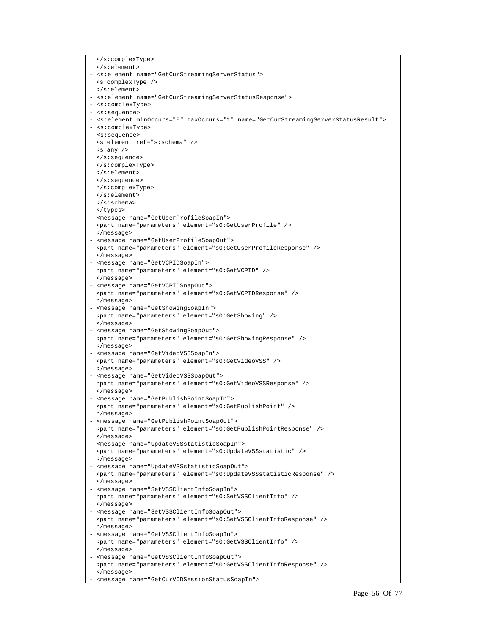</s:complexType> </s:element> - <s:element name="GetCurStreamingServerStatus"> <s:complexType /> </s:element> - <s:element name="GetCurStreamingServerStatusResponse"> - <s:complexType> - <s:sequence> - <s:element minOccurs="0" maxOccurs="1" name="GetCurStreamingServerStatusResult"> - <s:complexType> - <s:sequence> <s:element ref="s:schema" /> <s:any /> </s:sequence> </s:complexType> </s:element> </s:sequence> </s:complexType> </s:element> </s:schema> </types> - <message name="GetUserProfileSoapIn"> <part name="parameters" element="s0:GetUserProfile" /> </message> - <message name="GetUserProfileSoapOut"> <part name="parameters" element="s0:GetUserProfileResponse" /> </message> - <message name="GetVCPIDSoapIn"> <part name="parameters" element="s0:GetVCPID" /> </message> - <message name="GetVCPIDSoapOut"> <part name="parameters" element="s0:GetVCPIDResponse" /> </message> - <message name="GetShowingSoapIn"> <part name="parameters" element="s0:GetShowing" /> </message> - <message name="GetShowingSoapOut"> <part name="parameters" element="s0:GetShowingResponse" /> </message> - <message name="GetVideoVSSSoapIn"> <part name="parameters" element="s0:GetVideoVSS" /> </message> - <message name="GetVideoVSSSoapOut"> <part name="parameters" element="s0:GetVideoVSSResponse" /> </message> - <message name="GetPublishPointSoapIn"> <part name="parameters" element="s0:GetPublishPoint" /> </message> - <message name="GetPublishPointSoapOut"> <part name="parameters" element="s0:GetPublishPointResponse" /> </message> - <message name="UpdateVSSstatisticSoapIn"> <part name="parameters" element="s0:UpdateVSSstatistic" /> </message> - <message name="UpdateVSSstatisticSoapOut"> <part name="parameters" element="s0:UpdateVSSstatisticResponse" /> </message> - <message name="SetVSSClientInfoSoapIn"> <part name="parameters" element="s0:SetVSSClientInfo" /> </message> - <message name="SetVSSClientInfoSoapOut"> <part name="parameters" element="s0:SetVSSClientInfoResponse" /> </message> - <message name="GetVSSClientInfoSoapIn"> <part name="parameters" element="s0:GetVSSClientInfo" /> </message> - <message name="GetVSSClientInfoSoapOut"> <part name="parameters" element="s0:GetVSSClientInfoResponse" /> </message> - <message name="GetCurVODSessionStatusSoapIn">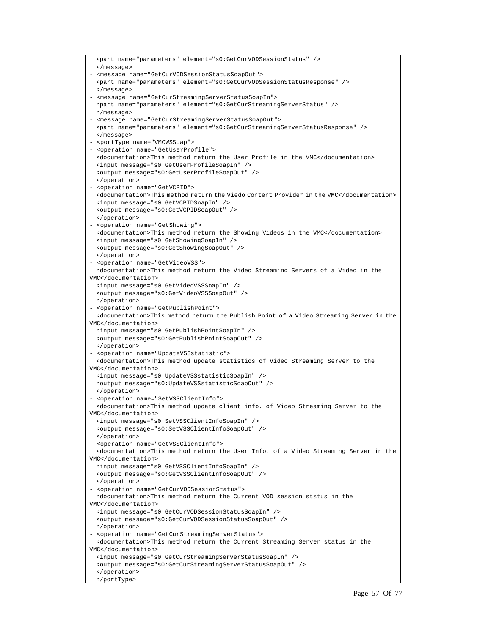```
<part name="parameters" element="s0:GetCurVODSessionStatus" /> 
  </message> 
- <message name="GetCurVODSessionStatusSoapOut"> 
 <part name="parameters" element="s0:GetCurVODSessionStatusResponse" /> 
 </message> 
 - <message name="GetCurStreamingServerStatusSoapIn"> 
 <part name="parameters" element="s0:GetCurStreamingServerStatus" /> 
 </message> 
- <message name="GetCurStreamingServerStatusSoapOut"> 
 <part name="parameters" element="s0:GetCurStreamingServerStatusResponse" /> 
  </message> 
 - <portType name="VMCWSSoap"> 
- <operation name="GetUserProfile"> 
 <documentation>This method return the User Profile in the VMC</documentation> 
  <input message="s0:GetUserProfileSoapIn" /> 
 <output message="s0:GetUserProfileSoapOut" /> 
  </operation> 
- <operation name="GetVCPID"> 
 <documentation>This method return the Viedo Content Provider in the VMC</documentation> 
  <input message="s0:GetVCPIDSoapIn" /> 
 <output message="s0:GetVCPIDSoapOut" /> 
 </operation> 
- <operation name="GetShowing"> 
  <documentation>This method return the Showing Videos in the VMC</documentation> 
  <input message="s0:GetShowingSoapIn" /> 
 <output message="s0:GetShowingSoapOut" /> 
 </operation> 
- <operation name="GetVideoVSS"> 
  <documentation>This method return the Video Streaming Servers of a Video in the 
VMC</documentation> 
 <input message="s0:GetVideoVSSSoapIn" /> 
 <output message="s0:GetVideoVSSSoapOut" /> 
 </operation> 
- <operation name="GetPublishPoint"> 
 <documentation>This method return the Publish Point of a Video Streaming Server in the 
VMC</documentation> 
 <input message="s0:GetPublishPointSoapIn" /> 
  <output message="s0:GetPublishPointSoapOut" /> 
  </operation> 
- <operation name="UpdateVSSstatistic"> 
 <documentation>This method update statistics of Video Streaming Server to the 
VMC</documentation> 
  <input message="s0:UpdateVSSstatisticSoapIn" /> 
  <output message="s0:UpdateVSSstatisticSoapOut" /> 
 </operation> 
- <operation name="SetVSSClientInfo"> 
  <documentation>This method update client info. of Video Streaming Server to the 
VMC</documentation> 
 <input message="s0:SetVSSClientInfoSoapIn" /> 
 <output message="s0:SetVSSClientInfoSoapOut" /> 
  </operation> 
- <operation name="GetVSSClientInfo"> 
 <documentation>This method return the User Info. of a Video Streaming Server in the 
VMC</documentation> 
 <input message="s0:GetVSSClientInfoSoapIn" /> 
 <output message="s0:GetVSSClientInfoSoapOut" /> 
  </operation> 
- <operation name="GetCurVODSessionStatus"> 
 <documentation>This method return the Current VOD session ststus in the 
VMC</documentation> 
  <input message="s0:GetCurVODSessionStatusSoapIn" /> 
  <output message="s0:GetCurVODSessionStatusSoapOut" /> 
  </operation> 
- <operation name="GetCurStreamingServerStatus"> 
  <documentation>This method return the Current Streaming Server status in the 
VMC</documentation> 
 <input message="s0:GetCurStreamingServerStatusSoapIn" /> 
  <output message="s0:GetCurStreamingServerStatusSoapOut" /> 
  </operation> 
  </portType>
```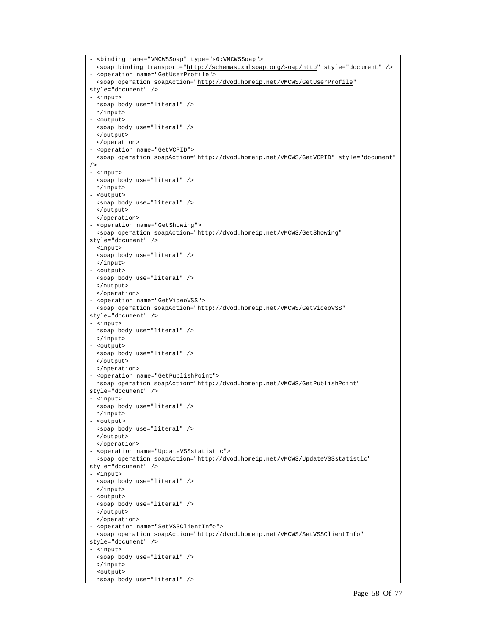```
- <binding name="VMCWSSoap" type="s0:VMCWSSoap"> 
  <soap:binding transport="http://schemas.xmlsoap.org/soap/http" style="document" /> 
- <operation name="GetUserProfile"> 
 <soap:operation soapAction="http://dvod.homeip.net/VMCWS/GetUserProfile" 
style="document" /> 
- <input> 
 <soap:body use="literal" /> 
 </input> 
- <output> 
 <soap:body use="literal" /> 
 </output> 
 </operation> 
- <operation name="GetVCPID"> 
 <soap:operation soapAction="http://dvod.homeip.net/VMCWS/GetVCPID" style="document" 
/> 
- <input> 
 <soap:body use="literal" /> 
 </input> 
- <output> 
 <soap:body use="literal" /> 
 </output> 
 </operation> 
- <operation name="GetShowing"> 
 <soap:operation soapAction="http://dvod.homeip.net/VMCWS/GetShowing" 
style="document" /> 
- <input> 
 <soap:body use="literal" /> 
 </input> 
- <output> 
 <soap:body use="literal" /> 
 </output> 
 </operation> 
- <operation name="GetVideoVSS"> 
 <soap:operation soapAction="http://dvod.homeip.net/VMCWS/GetVideoVSS" 
style="document" /> 
- <input> 
 <soap:body use="literal" /> 
 </input> 
- <output> 
 <soap:body use="literal" /> 
 </output> 
 </operation> 
- <operation name="GetPublishPoint"> 
 <soap:operation soapAction="http://dvod.homeip.net/VMCWS/GetPublishPoint" 
style="document" /> 
- <input> 
 <soap:body use="literal" /> 
 </input> 
- <output> 
 <soap:body use="literal" /> 
 </output> 
 </operation> 
- <operation name="UpdateVSSstatistic"> 
 <soap:operation soapAction="http://dvod.homeip.net/VMCWS/UpdateVSSstatistic" 
style="document" /> 
- <input> 
 <soap:body use="literal" /> 
 </input> 
- <output> 
 <soap:body use="literal" /> 
 </output> 
 </operation> 
- <operation name="SetVSSClientInfo"> 
 <soap:operation soapAction="http://dvod.homeip.net/VMCWS/SetVSSClientInfo" 
style="document" /> 
- <input> 
 <soap:body use="literal" /> 
 </input> 
- <output> 
  <soap:body use="literal" />
```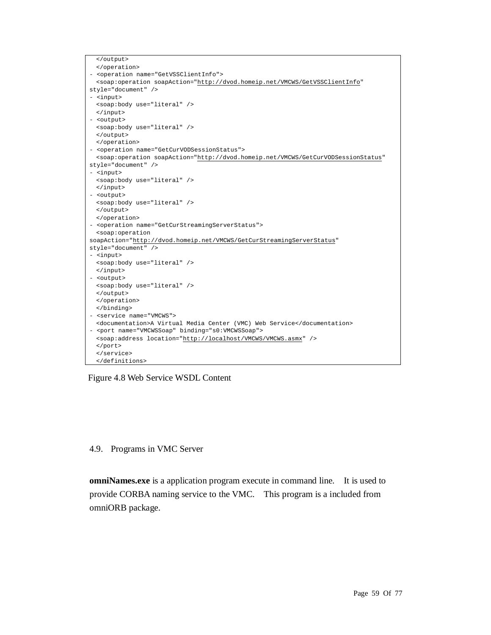

Figure 4.8 Web Service WSDL Content

#### 4.9. Programs in VMC Server

**omniNames.exe** is a application program execute in command line. It is used to provide CORBA naming service to the VMC. This program is a included from omniORB package.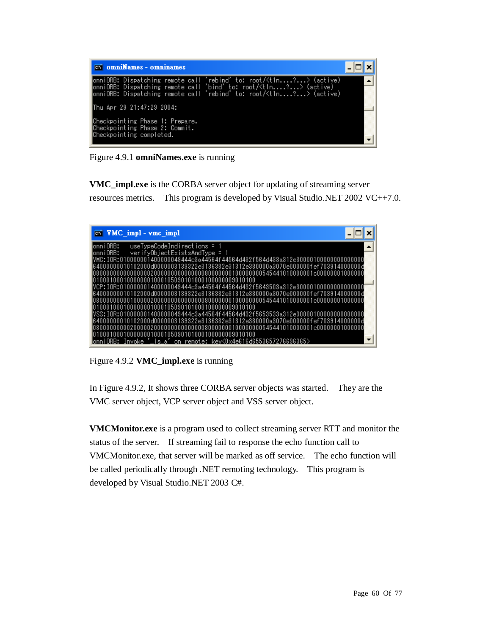| <b>cx</b> omniNames - omninames                                                                                                                                                                                                      |  |
|--------------------------------------------------------------------------------------------------------------------------------------------------------------------------------------------------------------------------------------|--|
| omniORB: Dispatching remote call 'rebind' to: root/ <t1n?> (active)<br/>omniORB: Dispatching remote call 'bind' to: root/<t1n?> (active)<br/>omniORB: Dispatching remote call 'rebind' to: root/<t1n?> (active)</t1n?></t1n?></t1n?> |  |
| ∥Thu Apr 29 21:47:29 2004:                                                                                                                                                                                                           |  |
| Checkpointing Phase 1: Prepare.<br>Checkpointing Phase 2: Commit.<br>Checkpointing completed.                                                                                                                                        |  |

Figure 4.9.1 **omniNames.exe** is running

**VMC\_impl.exe** is the CORBA server object for updating of streaming server resources metrics. This program is developed by Visual Studio.NET 2002 VC++7.0.

| $\overline{C}$ <b>VMC</b> impl - vmc impl                                          |
|------------------------------------------------------------------------------------|
| lomniORB:<br>useTypeCodeIndirections = 1                                           |
| lomniORB:<br>verifyObjectExistsAndType = 1                                         |
| lvMC: IOR:010000001400000049444c3a44564f44564d432f564d433a312e3000010000000000000  |
| 000000010102000d0000003139322e3136382e31312e380000a3070e000000fef703914000000d     |
|                                                                                    |
| 000100000001000105090101000100000009010100                                         |
| lVCP: IOR:010000001400000049444c3a44564f44564d432f5643503a312e30000100000000000000 |
| l64000000010102000d0000003139322e3136382e31312e380000a3070e000000fef703914000000d  |
|                                                                                    |
|                                                                                    |
| lVSS: IOR:010000001400000049444c3a44564f44564d432f5653533a312e3000010000000000000  |
| l64000000010102000d0000003139322e3136382e31312e380000a3070e000000fef703914000000d  |
|                                                                                    |
| 0010001000000010001050901010001000000009010100                                     |
| lomniORB: Invoke 'is a'on remote: kev<0x4e616d6553657276696365>                    |

Figure 4.9.2 **VMC\_impl.exe** is running

In Figure 4.9.2, It shows three CORBA server objects was started. They are the VMC server object, VCP server object and VSS server object.

**VMCMonitor.exe** is a program used to collect streaming server RTT and monitor the status of the server. If streaming fail to response the echo function call to VMCMonitor.exe, that server will be marked as off service. The echo function will be called periodically through .NET remoting technology. This program is developed by Visual Studio.NET 2003 C#.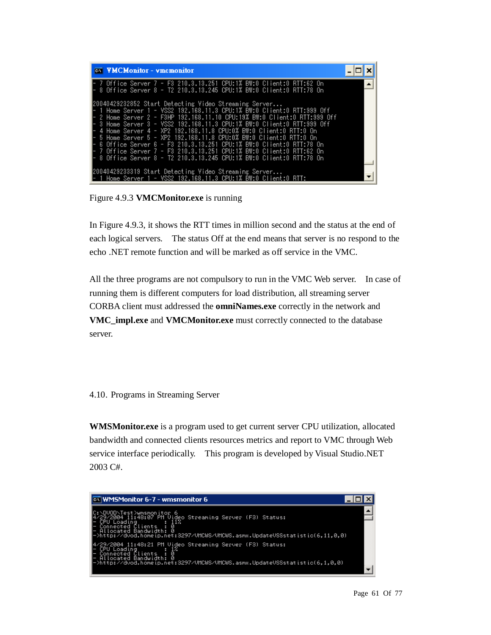| <b>CK VMCMonitor - vmcmonitor</b>                                                                                                                                                                                                                                                                                                                                                                                                                                                                                                                                                                                                         |  |
|-------------------------------------------------------------------------------------------------------------------------------------------------------------------------------------------------------------------------------------------------------------------------------------------------------------------------------------------------------------------------------------------------------------------------------------------------------------------------------------------------------------------------------------------------------------------------------------------------------------------------------------------|--|
| 7 Office Server 7 - F3 210.3.13.251 CPU:1% BW:0 Client:0 RTT:62 On<br>8 Office Server 8 - T2 210.3.13.245 CPU:1% BW:0 Client:0 RTT:78 On                                                                                                                                                                                                                                                                                                                                                                                                                                                                                                  |  |
| 20040429232852 Start Detecting Video Streaming Server<br>1 Home Server 1 - VSS2 192.168.11.3 CPU:1% BW:0 Client:0 RTT:999 Off<br>2 Home Server 2 - F3HP 192.168.11.10 CPU:19% BW:0 Client:0 RTT:999 Off<br>3 Home Server 3 - VSS2 192.168.11.3 CPU:1% BW:0 Client:0 RTT:999 Off<br>4 Home Server 4 - XP2 192.168.11.8 CPU:0% BW:0 Client:0 RTT:0 On<br>5 Home Server 5 - XP2 192.168.11.8 CPU:0% BW:0 Client:0 RTT:0 On<br>6 Office Server 6 - F3 210.3.13.251 CPU:1% BW:0 Client:0 RTT:78 On<br>7 Office Server 7 - F3 210.3.13.251 CPU:1% BW:0 Client:0 RTT:62 On<br>8 Office Server 8 - T2 210.3.13.245 CPU:1% BW:0 Client:0 RTT:78 On |  |
| 20040429233319 Start Detecting Video Strea <u>ming Server</u><br>Home Server 1 - VSS2 192.168.11.3 CPU:1% BW: <u>0 Client:0 RTT</u> :                                                                                                                                                                                                                                                                                                                                                                                                                                                                                                     |  |

Figure 4.9.3 **VMCMonitor.exe** is running

In Figure 4.9.3, it shows the RTT times in million second and the status at the end of each logical servers. The status Off at the end means that server is no respond to the echo .NET remote function and will be marked as off service in the VMC.

All the three programs are not compulsory to run in the VMC Web server. In case of running them is different computers for load distribution, all streaming server CORBA client must addressed the **omniNames.exe** correctly in the network and **VMC\_impl.exe** and **VMCMonitor.exe** must correctly connected to the database server.

4.10. Programs in Streaming Server

**WMSMonitor.exe** is a program used to get current server CPU utilization, allocated bandwidth and connected clients resources metrics and report to VMC through Web service interface periodically. This program is developed by Visual Studio.NET 2003 C#.

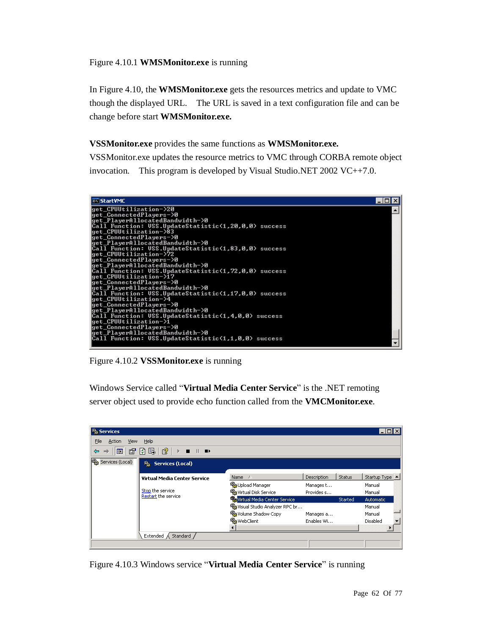## Figure 4.10.1 **WMSMonitor.exe** is running

In Figure 4.10, the **WMSMonitor.exe** gets the resources metrics and update to VMC though the displayed URL. The URL is saved in a text configuration file and can be change before start **WMSMonitor.exe.**

## **VSSMonitor.exe** provides the same functions as **WMSMonitor.exe.**

VSSMonitor.exe updates the resource metrics to VMC through CORBA remote object invocation. This program is developed by Visual Studio.NET 2002 VC++7.0.



Figure 4.10.2 **VSSMonitor.exe** is running

Windows Service called "**Virtual Media Center Service**" is the .NET remoting server object used to provide echo function called from the **VMCMonitor.exe**.

| <b>卷 Services</b>      |                                                |                                  |             |               | l-I⊡I×         |
|------------------------|------------------------------------------------|----------------------------------|-------------|---------------|----------------|
| Eile<br>Action<br>View | Help                                           |                                  |             |               |                |
| ft<br>⇔<br>囮           | 喝<br>图<br>団<br>$\blacksquare$<br>$\rightarrow$ |                                  |             |               |                |
| Services (Local)       | % Services (Local)                             |                                  |             |               |                |
|                        | Virtual Media Center Service                   | Name A                           | Description | <b>Status</b> | Startup Type ▲ |
|                        |                                                | Opload Manager                   | Manages t   |               | Manual         |
|                        | Stop the service                               | Wa Virtual Disk Service          | Provides s  |               | Manual         |
|                        | Restart the service                            | Wirtual Media Center Service     |             | Started       | Automatic,     |
|                        |                                                | Wa Visual Studio Analyzer RPC br |             |               | Manual         |
|                        |                                                | % Volume Shadow Copy             | Manages a   |               | Manual         |
|                        |                                                | <sup>6</sup> % WebClient         | Enables Wi  |               | Disabled       |
|                        |                                                |                                  |             |               |                |
|                        | Extended $\bigwedge$ Standard                  |                                  |             |               |                |
|                        |                                                |                                  |             |               |                |

Figure 4.10.3 Windows service "**Virtual Media Center Service**" is running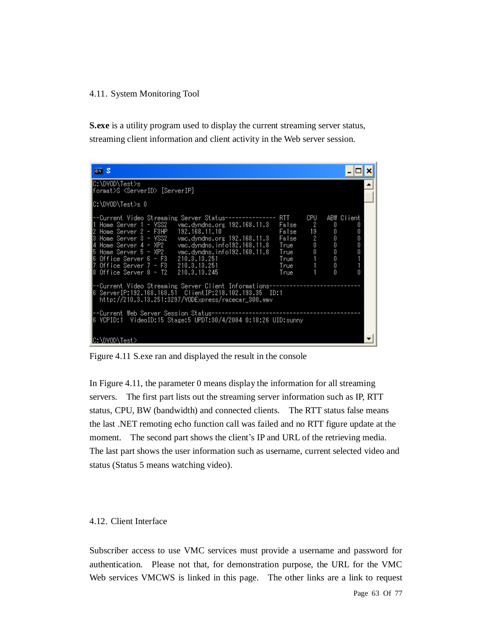#### 4.11. System Monitoring Tool

**S.exe** is a utility program used to display the current streaming server status, streaming client information and client activity in the Web server session.

| $\overline{\text{cm}}$ S                                                                                                                                                                                                                                                                                                                                                                                                                                                                      |                                        |                                      |                                     |
|-----------------------------------------------------------------------------------------------------------------------------------------------------------------------------------------------------------------------------------------------------------------------------------------------------------------------------------------------------------------------------------------------------------------------------------------------------------------------------------------------|----------------------------------------|--------------------------------------|-------------------------------------|
| C:\DVOD\Test>s<br> format>S <serverid> [ServerIP]</serverid>                                                                                                                                                                                                                                                                                                                                                                                                                                  |                                        |                                      |                                     |
| ∥C:\DVOD\Test>s O                                                                                                                                                                                                                                                                                                                                                                                                                                                                             |                                        |                                      |                                     |
| RTT.<br>--Current Video Streaming Server Status--------------<br>Home Server 1 - VSS2<br>False<br>Home Server 2 - F3HP<br>192.168.11.10<br>False<br>vmc.dyndns.org 192.168.11.3<br>False<br>Home Server 3 - VSS2<br>Home Server 4 - XP2<br>vmc.dyndns.info192.168.11.8<br>True<br>vmc.dyndns.info192.168.11.8<br>Home Server 5 - XP2<br>True<br>∥6 Office Server 6 - F3<br>210.3.13.251<br>True<br>Office Server $7 - F3 = 210.3.13.251$<br>True<br>Office Server 8 - T2 210.3.13.245<br>True | CPU<br>2<br>19<br>$\sqrt{2}$<br>0<br>Û | 0<br>0<br>Û<br>0<br>Û<br>Û<br>0<br>Ñ | ABW Client<br>Ū<br>Û<br>Û<br>Û<br>Ū |
| --Current Video Streaming Server Client Informations---<br>http://210.3.13.251:3297/VODExpress/racecar_300.wmv                                                                                                                                                                                                                                                                                                                                                                                |                                        |                                      |                                     |
| --Current Web Server Session Status------------------<br>VCPID:1                                                                                                                                                                                                                                                                                                                                                                                                                              |                                        |                                      |                                     |
| C:\DVOD\Test>                                                                                                                                                                                                                                                                                                                                                                                                                                                                                 |                                        |                                      |                                     |

Figure 4.11 S.exe ran and displayed the result in the console

In Figure 4.11, the parameter 0 means display the information for all streaming servers. The first part lists out the streaming server information such as IP, RTT status, CPU, BW (bandwidth) and connected clients. The RTT status false means the last .NET remoting echo function call was failed and no RTT figure update at the moment. The second part shows the client's IP and URL of the retrieving media. The last part shows the user information such as username, current selected video and status (Status 5 means watching video).

#### 4.12. Client Interface

Subscriber access to use VMC services must provide a username and password for authentication. Please not that, for demonstration purpose, the URL for the VMC Web services VMCWS is linked in this page. The other links are a link to request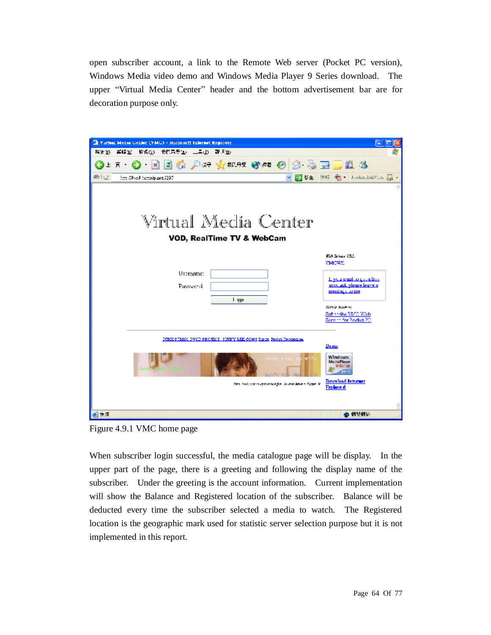open subscriber account, a link to the Remote Web server (Pocket PC version), Windows Media video demo and Windows Media Player 9 Series download. The upper "Virtual Media Center" header and the bottom advertisement bar are for decoration purpose only.



Figure 4.9.1 VMC home page

When subscriber login successful, the media catalogue page will be display. In the upper part of the page, there is a greeting and following the display name of the subscriber. Under the greeting is the account information. Current implementation will show the Balance and Registered location of the subscriber. Balance will be deducted every time the subscriber selected a media to watch. The Registered location is the geographic mark used for statistic server selection purpose but it is not implemented in this report.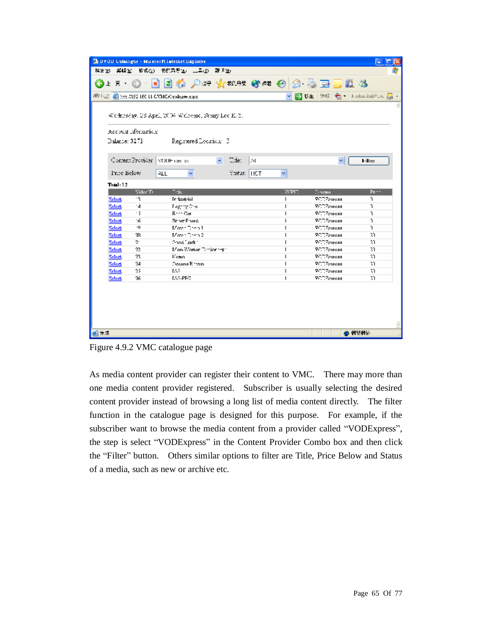|                                |                      | <sup>2</sup> DVOD Calalogue - Minrosoft Internet Explorer |               |    |        |                                         |                             |
|--------------------------------|----------------------|-----------------------------------------------------------|---------------|----|--------|-----------------------------------------|-----------------------------|
|                                |                      | 梅家(b) 海鳞(b) 被成(g) 我的只要(g) 三具(g) 敲飞(b)                     |               |    |        |                                         |                             |
|                                |                      |                                                           |               |    |        |                                         |                             |
|                                |                      |                                                           |               |    |        |                                         | B B 生 物件 新   Kabu And You 扇 |
|                                |                      |                                                           |               |    |        |                                         |                             |
|                                |                      | Wednesday, 28 April, 2004. Welcome, Strany Lee K. 2.      |               |    |        |                                         |                             |
|                                | Account rifermation: |                                                           |               |    |        |                                         |                             |
| Balance: 3271                  |                      | Registered Location 3                                     |               |    |        |                                         |                             |
|                                |                      |                                                           |               |    |        |                                         |                             |
|                                |                      |                                                           |               |    |        |                                         |                             |
|                                |                      | Content Provider   vODH can as                            | Title:        | Dч |        | v.                                      | Filter                      |
| Price Below                    |                      | ᄮ                                                         | Status:   HCT |    | v.     |                                         |                             |
|                                |                      |                                                           |               |    |        |                                         |                             |
| That: 1.2                      |                      |                                                           |               |    |        |                                         |                             |
|                                | Video <sup>T</sup> D | $\neg$ -le                                                |               |    | VCPID. | Crnome                                  | Per-                        |
| <b>Select</b>                  | ٠ę                   | Technologie                                               |               |    | г      | <b>PCDPsaress</b><br><b>RODE</b> sareaa | ı.                          |
| <b>Select</b><br><b>Select</b> | $\cdot$ 4<br>- 5     | Fegring Cro<br>Entre Con-                                 |               |    |        | <b>PCCEspress</b>                       | ĩ.<br>J.                    |
| Scient                         | ٠ñ.                  | Snow Foots                                                |               |    |        | <b>RCCEspress</b>                       | ı.                          |
|                                | ٠o                   | Mose Desa 1                                               |               |    |        | <b>RODE</b> spress                      | ı.                          |
| Scient                         |                      | Moved Dema 2                                              |               |    |        | <b>RODE</b> spress                      |                             |
| Scient                         | 30.                  | Chool Lack 1                                              |               |    |        |                                         | 3Y.                         |
| Scient                         | $2^{\circ}$<br>22    |                                                           |               |    |        | <b>RODE</b> spress                      | 31<br>īΩ.                   |
| Scient                         |                      | Mon-Women Distinctive 1                                   |               |    |        | <b>RCCEspress</b>                       |                             |
| Scient                         | 23.                  | Kemo.                                                     |               |    |        | <b>RCCEspress</b>                       | 30.                         |
| Scient                         | 24                   | Oceans Einven-                                            |               |    |        | <b>RCCEspress</b>                       | M.                          |
| Scient                         | 25                   | EA2.                                                      |               |    |        | <b>VCDPspress</b>                       | 31.                         |
| <b>Select</b>                  | M                    | <b>IAS-PEC</b>                                            |               |    |        | <b>PCDPspress</b>                       | R.                          |
|                                |                      |                                                           |               |    |        |                                         |                             |
| 編えま                            |                      |                                                           |               |    |        |                                         | 心 假硬细胞                      |

Figure 4.9.2 VMC catalogue page

As media content provider can register their content to VMC. There may more than one media content provider registered. Subscriber is usually selecting the desired content provider instead of browsing a long list of media content directly. The filter function in the catalogue page is designed for this purpose. For example, if the subscriber want to browse the media content from a provider called "VODExpress", the step is select "VODExpress" in the Content Provider Combo box and then click the "Filter" button. Others similar options to filter are Title, Price Below and Status of a media, such as new or archive etc.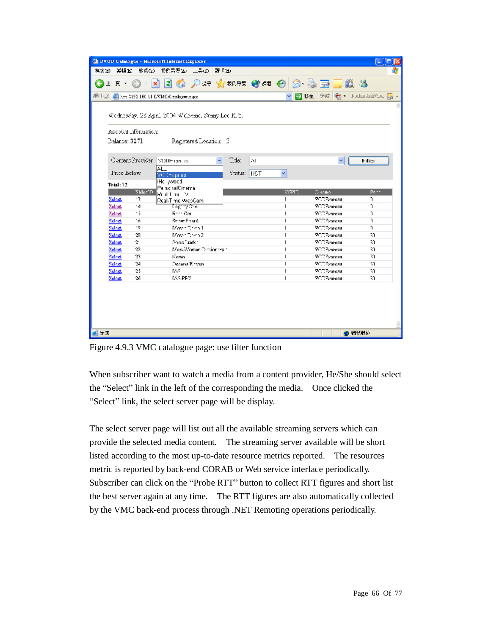|               |                      | <sup>2</sup> DVOD Calalogue - Minrosoft Internet Explorer     |               |    |              |                    |                           |
|---------------|----------------------|---------------------------------------------------------------|---------------|----|--------------|--------------------|---------------------------|
|               |                      | 梅家(b) 海鳞(b) 被成(g) 我的只要(a) 三具(j) 敲飞(b)                         |               |    |              |                    |                           |
|               |                      | ◎上 F ⊙ · R E ⑥ ♪ : → ☆ **** ◎ ** ④ 2 。 云 = ■ _ _ _ 3 。 *      |               |    |              |                    |                           |
|               |                      | #   2   a   H   H   H   H   H   H   CATM CAT enalogive.export |               |    |              |                    | ▼ 予10年 後結 衛 トルGuiAndYue 扉 |
|               |                      |                                                               |               |    |              |                    |                           |
|               |                      | Wednesday, 28 April, 2004. Welcome, Strany Lee K. 2.,         |               |    |              |                    |                           |
|               | Account aformation.  |                                                               |               |    |              |                    |                           |
| Balance: 3271 |                      | Registered Location (2)                                       |               |    |              |                    |                           |
|               |                      |                                                               |               |    |              |                    |                           |
|               |                      | Content Provider   VODH can as                                | Title:        | Iм |              | v.                 | Filter                    |
|               |                      | AL_                                                           |               |    |              |                    |                           |
| Price Below   |                      | MC Chiganna.                                                  | Status:   HCT |    | v            |                    |                           |
| Table 12      |                      | iHc ywood                                                     |               |    |              |                    |                           |
|               | Video <sup>T</sup> D | PersonalCinama                                                |               |    | VCPID.       | Crhoma.            | Per-                      |
| Select        | ۰۹                   | Rod Limit - Vi<br>Real-Time WebCam                            |               |    | $\mathbf{I}$ | <b>RCCEspress</b>  | ı.                        |
| Scient        | $\cdot$ 4            | TegrnaChai                                                    |               |    |              | <b>VCDPsaress</b>  | ı.                        |
| Scient        | - 5                  | Entre Con-                                                    |               |    |              | <b>RODE</b> spress | Ĩ.                        |
| <b>Select</b> | ٠ñ.                  | Snow Foots                                                    |               |    |              | <b>VCCZyordss</b>  | r.                        |
| Scient        | ٠o                   | Moved Desert                                                  |               |    |              | <b>PCCEspress</b>  | r.                        |
| Scient        | 20.                  | $M$ over Demo 2                                               |               |    |              | <b>RCCZsoross</b>  | R.                        |
| Scient        | s.                   | Chool Luck 1                                                  |               |    |              | <b>RCCEspress</b>  | R.                        |
| Scient        | 22.                  | Mon-Women Dictionary 1                                        |               |    |              | <b>RCCEspress</b>  | R.                        |
| Scient        | 23.                  | Kemo.                                                         |               |    |              | <b>RCCEspress</b>  | ٦T.                       |
| Scleet        | 24                   | <b>Decems Einzen</b>                                          |               |    |              | <b>RCCEspress</b>  | 30.                       |
| Scleet        | 25                   | EA2.                                                          |               |    |              | <b>RCCEspress</b>  | 3T)                       |
| Select        | M                    | <b>IAS-PEC</b>                                                |               |    |              | <b>RCCEspress</b>  | R.                        |
|               |                      |                                                               |               |    |              |                    |                           |
| $-1 + 3$      |                      |                                                               |               |    |              |                    | ● 偶然偶论                    |

Figure 4.9.3 VMC catalogue page: use filter function

When subscriber want to watch a media from a content provider, He/She should select the "Select" link in the left of the corresponding the media. Once clicked the "Select" link, the select server page will be display.

The select server page will list out all the available streaming servers which can provide the selected media content. The streaming server available will be short listed according to the most up-to-date resource metrics reported. The resources metric is reported by back-end CORAB or Web service interface periodically. Subscriber can click on the "Probe RTT" button to collect RTT figures and short list the best server again at any time. The RTT figures are also automatically collected by the VMC back-end process through .NET Remoting operations periodically.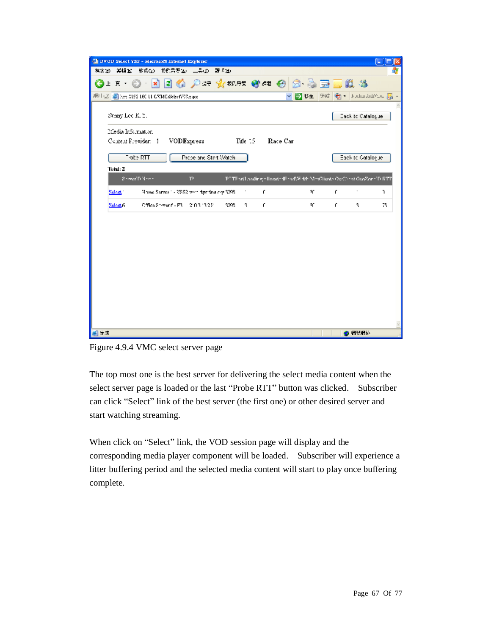| <sup>2</sup> DVOD Select YSS - Mercent Internet Explorer |                                            |                   |                                                                             |                           |    |
|----------------------------------------------------------|--------------------------------------------|-------------------|-----------------------------------------------------------------------------|---------------------------|----|
| 福安(b) 海绵(b) 被说(b) 我的只奇(b) 二异(j) 就明(b)                    |                                            |                   |                                                                             |                           |    |
| GIE O<br>$\vert \mathbf{x} \vert$                        | 日伯 八大 火地球 砂心 使用 毒豆属 基                      |                   |                                                                             |                           |    |
| #甲   ②   an http://lissa.led.11.cATMC/Select733.espx;    |                                            |                   | 日に生                                                                         | 独结  衢   Joulus 2ml/faul 扁 |    |
| Stary Lee K.Y.                                           |                                            |                   |                                                                             | Eack to Catalogue         |    |
| Media Information                                        |                                            |                   |                                                                             |                           |    |
| Content Frevider: 1 VODExpress Mile 15 Race Car          |                                            |                   |                                                                             |                           |    |
| $\overline{\phantom{a}}$ obe RIT.                        | Prose and Start Watch                      |                   |                                                                             | Eack to Catalogue         |    |
| Total: 2                                                 |                                            |                   |                                                                             |                           |    |
| Server Different                                         | P                                          |                   | PETE art Londing of locate the profile the Mexicans Cardiacot GooZone TuETT |                           |    |
| Select:                                                  | Home Server 1 - 7382 von dar tha cra 3208. | £.<br>۰.          | ٩ſ.                                                                         | £.<br>$\cdot$             | ı. |
| Select <sub>1</sub>                                      | CfficeStreetf - P3 200313251               | 7298.<br>۹.<br>f. | ٩ſ.                                                                         | £.<br>۹.                  | 78 |
|                                                          |                                            |                   |                                                                             |                           |    |
|                                                          |                                            |                   |                                                                             |                           |    |
|                                                          |                                            |                   |                                                                             |                           |    |
|                                                          |                                            |                   |                                                                             |                           |    |
|                                                          |                                            |                   |                                                                             |                           |    |
|                                                          |                                            |                   |                                                                             |                           |    |
|                                                          |                                            |                   |                                                                             |                           |    |
|                                                          |                                            |                   |                                                                             |                           |    |
|                                                          |                                            |                   |                                                                             |                           |    |
|                                                          |                                            |                   |                                                                             |                           |    |
|                                                          |                                            |                   |                                                                             |                           |    |
| $-7 - 7$                                                 |                                            |                   |                                                                             | ● 偶然偶论                    |    |

Figure 4.9.4 VMC select server page

The top most one is the best server for delivering the select media content when the select server page is loaded or the last "Probe RTT" button was clicked. Subscriber can click "Select" link of the best server (the first one) or other desired server and start watching streaming.

When click on "Select" link, the VOD session page will display and the corresponding media player component will be loaded. Subscriber will experience a litter buffering period and the selected media content will start to play once buffering complete.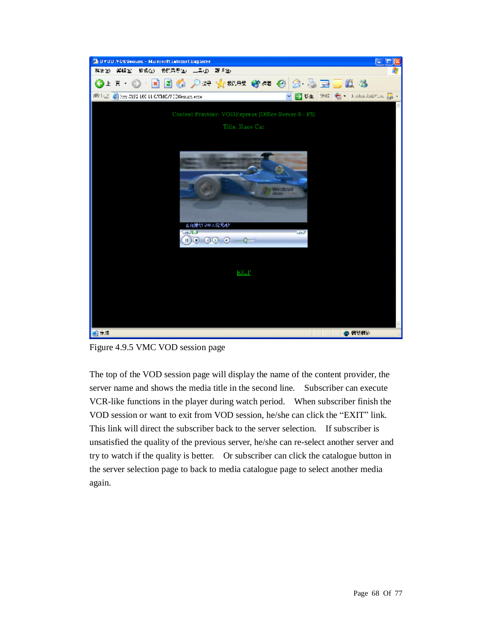

Figure 4.9.5 VMC VOD session page

The top of the VOD session page will display the name of the content provider, the server name and shows the media title in the second line. Subscriber can execute VCR-like functions in the player during watch period. When subscriber finish the VOD session or want to exit from VOD session, he/she can click the "EXIT" link. This link will direct the subscriber back to the server selection. If subscriber is unsatisfied the quality of the previous server, he/she can re-select another server and try to watch if the quality is better. Or subscriber can click the catalogue button in the server selection page to back to media catalogue page to select another media again.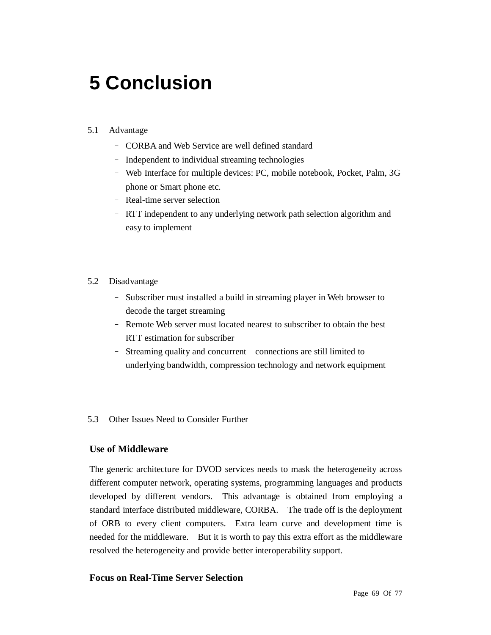# **5 Conclusion**

# 5.1 Advantage

- CORBA and Web Service are well defined standard
- Independent to individual streaming technologies
- Web Interface for multiple devices: PC, mobile notebook, Pocket, Palm, 3G phone or Smart phone etc.
- Real-time server selection
- RTT independent to any underlying network path selection algorithm and easy to implement

## 5.2 Disadvantage

- Subscriber must installed a build in streaming player in Web browser to decode the target streaming
- Remote Web server must located nearest to subscriber to obtain the best RTT estimation for subscriber
- Streaming quality and concurrent connections are still limited to underlying bandwidth, compression technology and network equipment

## 5.3 Other Issues Need to Consider Further

## **Use of Middleware**

The generic architecture for DVOD services needs to mask the heterogeneity across different computer network, operating systems, programming languages and products developed by different vendors. This advantage is obtained from employing a standard interface distributed middleware, CORBA. The trade off is the deployment of ORB to every client computers. Extra learn curve and development time is needed for the middleware. But it is worth to pay this extra effort as the middleware resolved the heterogeneity and provide better interoperability support.

# **Focus on Real-Time Server Selection**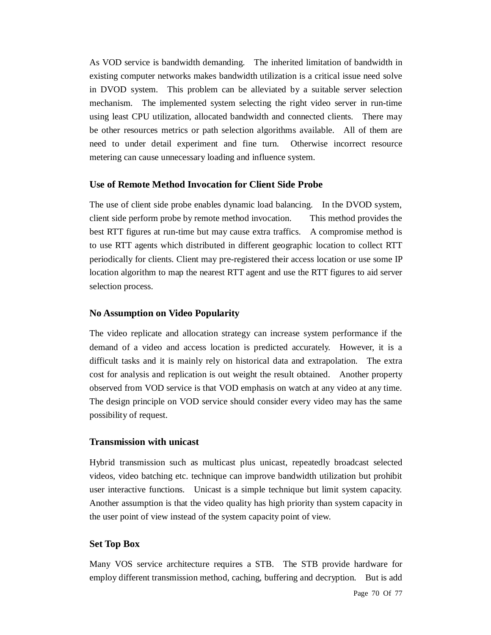As VOD service is bandwidth demanding. The inherited limitation of bandwidth in existing computer networks makes bandwidth utilization is a critical issue need solve in DVOD system. This problem can be alleviated by a suitable server selection mechanism. The implemented system selecting the right video server in run-time using least CPU utilization, allocated bandwidth and connected clients. There may be other resources metrics or path selection algorithms available. All of them are need to under detail experiment and fine turn. Otherwise incorrect resource metering can cause unnecessary loading and influence system.

## **Use of Remote Method Invocation for Client Side Probe**

The use of client side probe enables dynamic load balancing. In the DVOD system, client side perform probe by remote method invocation. This method provides the best RTT figures at run-time but may cause extra traffics. A compromise method is to use RTT agents which distributed in different geographic location to collect RTT periodically for clients. Client may pre-registered their access location or use some IP location algorithm to map the nearest RTT agent and use the RTT figures to aid server selection process.

## **No Assumption on Video Popularity**

The video replicate and allocation strategy can increase system performance if the demand of a video and access location is predicted accurately. However, it is a difficult tasks and it is mainly rely on historical data and extrapolation. The extra cost for analysis and replication is out weight the result obtained. Another property observed from VOD service is that VOD emphasis on watch at any video at any time. The design principle on VOD service should consider every video may has the same possibility of request.

## **Transmission with unicast**

Hybrid transmission such as multicast plus unicast, repeatedly broadcast selected videos, video batching etc. technique can improve bandwidth utilization but prohibit user interactive functions. Unicast is a simple technique but limit system capacity. Another assumption is that the video quality has high priority than system capacity in the user point of view instead of the system capacity point of view.

# **Set Top Box**

Many VOS service architecture requires a STB. The STB provide hardware for employ different transmission method, caching, buffering and decryption. But is add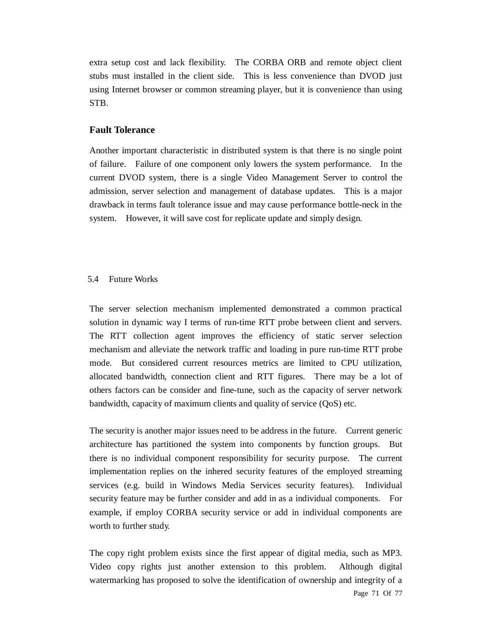extra setup cost and lack flexibility. The CORBA ORB and remote object client stubs must installed in the client side. This is less convenience than DVOD just using Internet browser or common streaming player, but it is convenience than using STB.

## **Fault Tolerance**

Another important characteristic in distributed system is that there is no single point of failure. Failure of one component only lowers the system performance. In the current DVOD system, there is a single Video Management Server to control the admission, server selection and management of database updates. This is a major drawback in terms fault tolerance issue and may cause performance bottle-neck in the system. However, it will save cost for replicate update and simply design.

#### 5.4 Future Works

The server selection mechanism implemented demonstrated a common practical solution in dynamic way I terms of run-time RTT probe between client and servers. The RTT collection agent improves the efficiency of static server selection mechanism and alleviate the network traffic and loading in pure run-time RTT probe mode. But considered current resources metrics are limited to CPU utilization, allocated bandwidth, connection client and RTT figures. There may be a lot of others factors can be consider and fine-tune, such as the capacity of server network bandwidth, capacity of maximum clients and quality of service (QoS) etc.

The security is another major issues need to be address in the future. Current generic architecture has partitioned the system into components by function groups. But there is no individual component responsibility for security purpose. The current implementation replies on the inhered security features of the employed streaming services (e.g. build in Windows Media Services security features). Individual security feature may be further consider and add in as a individual components. For example, if employ CORBA security service or add in individual components are worth to further study.

Page 71 Of 77 The copy right problem exists since the first appear of digital media, such as MP3. Video copy rights just another extension to this problem. Although digital watermarking has proposed to solve the identification of ownership and integrity of a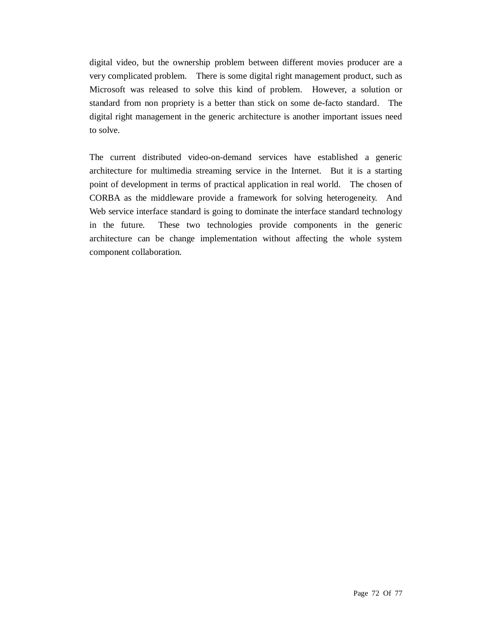digital video, but the ownership problem between different movies producer are a very complicated problem. There is some digital right management product, such as Microsoft was released to solve this kind of problem. However, a solution or standard from non propriety is a better than stick on some de-facto standard. The digital right management in the generic architecture is another important issues need to solve.

The current distributed video-on-demand services have established a generic architecture for multimedia streaming service in the Internet. But it is a starting point of development in terms of practical application in real world. The chosen of CORBA as the middleware provide a framework for solving heterogeneity. And Web service interface standard is going to dominate the interface standard technology in the future. These two technologies provide components in the generic architecture can be change implementation without affecting the whole system component collaboration.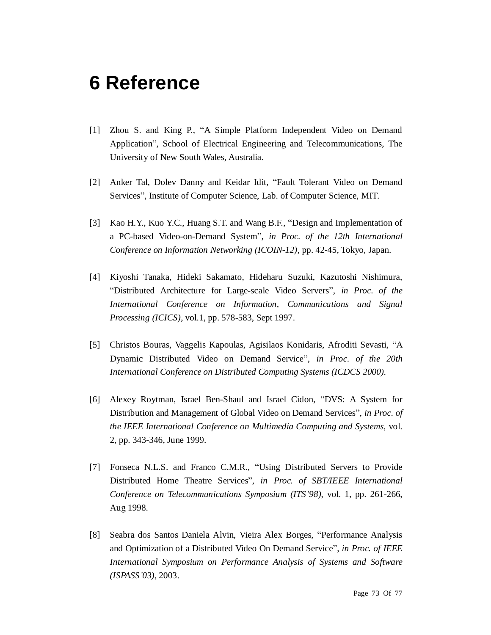## **6 Reference**

- [1] Zhou S. and King P., "A Simple Platform Independent Video on Demand Application", School of Electrical Engineering and Telecommunications, The University of New South Wales, Australia.
- [2] Anker Tal, Dolev Danny and Keidar Idit, "Fault Tolerant Video on Demand Services", Institute of Computer Science, Lab. of Computer Science, MIT.
- [3] Kao H.Y., Kuo Y.C., Huang S.T. and Wang B.F., "Design and Implementation of a PC-based Video-on-Demand System", *in Proc. of the 12th International Conference on Information Networking (ICOIN-12)*, pp. 42-45, Tokyo, Japan.
- [4] Kiyoshi Tanaka, Hideki Sakamato, Hideharu Suzuki, Kazutoshi Nishimura, "Distributed Architecture for Large-scale Video Servers", *in Proc. of the International Conference on Information, Communications and Signal Processing (ICICS)*, vol.1, pp. 578-583, Sept 1997.
- [5] Christos Bouras, Vaggelis Kapoulas, Agisilaos Konidaris, Afroditi Sevasti, "A Dynamic Distributed Video on Demand Service", *in Proc. of the 20th International Conference on Distributed Computing Systems (ICDCS 2000).*
- [6] Alexey Roytman, Israel Ben-Shaul and Israel Cidon, "DVS: A System for Distribution and Management of Global Video on Demand Services", *in Proc. of the IEEE International Conference on Multimedia Computing and Systems*, vol. 2, pp. 343-346, June 1999.
- [7] Fonseca N.L.S. and Franco C.M.R., "Using Distributed Servers to Provide Distributed Home Theatre Services", *in Proc. of SBT/IEEE International Conference on Telecommunications Symposium (ITS'98)*, vol. 1, pp. 261-266, Aug 1998.
- [8] Seabra dos Santos Daniela Alvin, Vieira Alex Borges, "Performance Analysis and Optimization of a Distributed Video On Demand Service", *in Proc. of IEEE International Symposium on Performance Analysis of Systems and Software (ISPASS'03)*, 2003.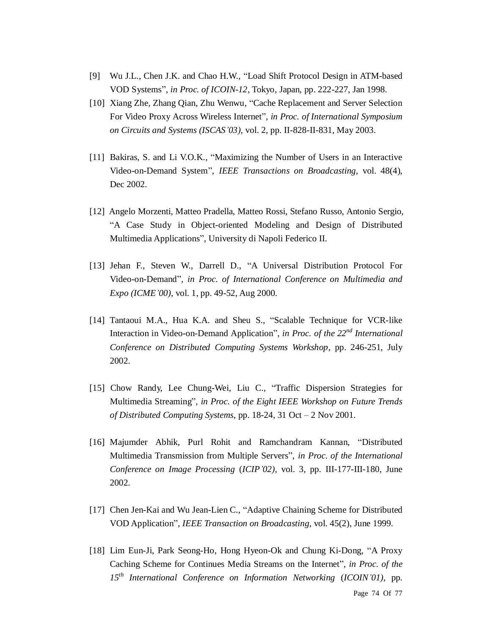- [9] Wu J.L., Chen J.K. and Chao H.W., "Load Shift Protocol Design in ATM-based VOD Systems", *in Proc. of ICOIN-12*, Tokyo, Japan, pp. 222-227, Jan 1998.
- [10] Xiang Zhe, Zhang Qian, Zhu Wenwu, "Cache Replacement and Server Selection For Video Proxy Across Wireless Internet", *in Proc. of International Symposium on Circuits and Systems (ISCAS'03)*, vol. 2, pp. II-828-II-831, May 2003.
- [11] Bakiras, S. and Li V.O.K., "Maximizing the Number of Users in an Interactive Video-on-Demand System", *IEEE Transactions on Broadcasting*, vol. 48(4), Dec 2002.
- [12] Angelo Morzenti, Matteo Pradella, Matteo Rossi, Stefano Russo, Antonio Sergio, "A Case Study in Object-oriented Modeling and Design of Distributed Multimedia Applications", University di Napoli Federico II.
- [13] Jehan F., Steven W., Darrell D., "A Universal Distribution Protocol For Video-on-Demand", *in Proc. of International Conference on Multimedia and Expo (ICME'00)*, vol. 1, pp. 49-52, Aug 2000.
- [14] Tantaoui M.A., Hua K.A. and Sheu S., "Scalable Technique for VCR-like Interaction in Video-on-Demand Application", *in Proc. of the 22nd International Conference on Distributed Computing Systems Workshop*, pp. 246-251, July 2002.
- [15] Chow Randy, Lee Chung-Wei, Liu C., "Traffic Dispersion Strategies for Multimedia Streaming", *in Proc. of the Eight IEEE Workshop on Future Trends of Distributed Computing Systems*, pp. 18-24, 31 Oct – 2 Nov 2001.
- [16] Majumder Abhik, Purl Rohit and Ramchandram Kannan, "Distributed Multimedia Transmission from Multiple Servers", *in Proc. of the International Conference on Image Processing* (*ICIP'02)*, vol. 3, pp. III-177-III-180, June 2002.
- [17] Chen Jen-Kai and Wu Jean-Lien C., "Adaptive Chaining Scheme for Distributed VOD Application", *IEEE Transaction on Broadcasting*, vol. 45(2), June 1999.
- [18] Lim Eun-Ji, Park Seong-Ho, Hong Hyeon-Ok and Chung Ki-Dong, "A Proxy Caching Scheme for Continues Media Streams on the Internet", *in Proc. of the 15th International Conference on Information Networking* (*ICOIN'01)*, pp.

Page 74 Of 77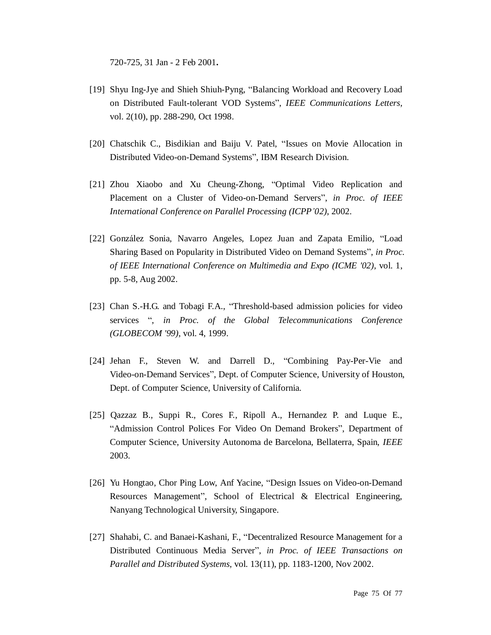720-725, 31 Jan - 2 Feb 2001**.**

- [19] Shyu Ing-Jye and Shieh Shiuh-Pyng, "Balancing Workload and Recovery Load on Distributed Fault-tolerant VOD Systems", *IEEE Communications Letters,*  vol. 2(10), pp. 288-290, Oct 1998.
- [20] Chatschik C., Bisdikian and Baiju V. Patel, "Issues on Movie Allocation in Distributed Video-on-Demand Systems", IBM Research Division.
- [21] Zhou Xiaobo and Xu Cheung-Zhong, "Optimal Video Replication and Placement on a Cluster of Video-on-Demand Servers", *in Proc. of IEEE International Conference on Parallel Processing (ICPP'02)*, 2002.
- [22] González Sonia, Navarro Angeles, Lopez Juan and Zapata Emilio, "Load Sharing Based on Popularity in Distributed Video on Demand Systems", *in Proc. of IEEE International Conference on Multimedia and Expo (ICME '02)*, vol. 1, pp. 5-8, Aug 2002.
- [23] Chan S.-H.G. and Tobagi F.A., "Threshold-based admission policies for video services ", *in Proc. of the Global Telecommunications Conference (GLOBECOM '99)*, vol. 4, 1999.
- [24] Jehan F., Steven W. and Darrell D., "Combining Pay-Per-Vie and Video-on-Demand Services", Dept. of Computer Science, University of Houston, Dept. of Computer Science, University of California.
- [25] Qazzaz B., Suppi R., Cores F., Ripoll A., Hernandez P. and Luque E., "Admission Control Polices For Video On Demand Brokers", Department of Computer Science, University Autonoma de Barcelona, Bellaterra, Spain, *IEEE* 2003.
- [26] Yu Hongtao, Chor Ping Low, Anf Yacine, "Design Issues on Video-on-Demand Resources Management", School of Electrical & Electrical Engineering, Nanyang Technological University, Singapore.
- [27] Shahabi, C. and Banaei-Kashani, F., "Decentralized Resource Management for a Distributed Continuous Media Server", *in Proc. of IEEE Transactions on Parallel and Distributed Systems*, vol. 13(11), pp. 1183-1200, Nov 2002.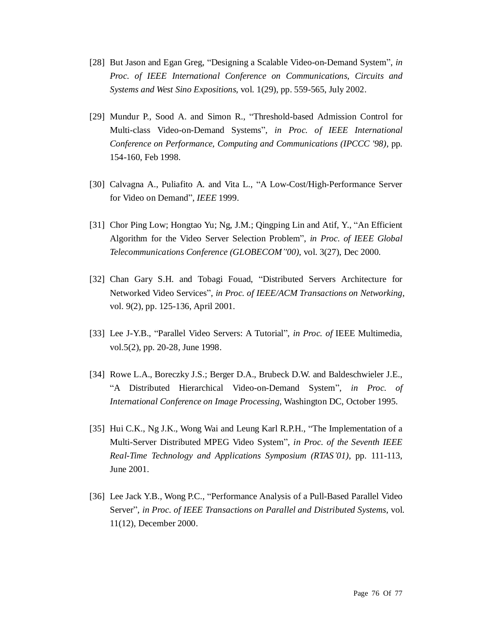- [28] But Jason and Egan Greg, "Designing a Scalable Video-on-Demand System", *in Proc. of IEEE International Conference on Communications, Circuits and Systems and West Sino Expositions*, vol. 1(29), pp. 559-565, July 2002.
- [29] Mundur P., Sood A. and Simon R., "Threshold-based Admission Control for Multi-class Video-on-Demand Systems", *in Proc. of IEEE International Conference on Performance, Computing and Communications (IPCCC '98)*, pp. 154-160, Feb 1998.
- [30] Calvagna A., Puliafito A. and Vita L., "A Low-Cost/High-Performance Server for Video on Demand", *IEEE* 1999.
- [31] Chor Ping Low; Hongtao Yu; Ng, J.M.; Qingping Lin and Atif, Y., "An Efficient Algorithm for the Video Server Selection Problem", *in Proc. of IEEE Global Telecommunications Conference (GLOBECOM''00)*, vol. 3(27), Dec 2000.
- [32] Chan Gary S.H. and Tobagi Fouad, "Distributed Servers Architecture for Networked Video Services", *in Proc. of IEEE/ACM Transactions on Networking*, vol. 9(2), pp. 125-136, April 2001.
- [33] Lee J-Y.B., "Parallel Video Servers: A Tutorial", *in Proc. of* IEEE Multimedia, vol.5(2), pp. 20-28, June 1998.
- [34] Rowe L.A., Boreczky J.S.; Berger D.A., Brubeck D.W. and Baldeschwieler J.E., "A Distributed Hierarchical Video-on-Demand System", *in Proc. of International Conference on Image Processing*, Washington DC, October 1995.
- [35] Hui C.K., Ng J.K., Wong Wai and Leung Karl R.P.H., "The Implementation of a Multi-Server Distributed MPEG Video System", *in Proc. of the Seventh IEEE Real-Time Technology and Applications Symposium (RTAS'01)*, pp. 111-113, June 2001.
- [36] Lee Jack Y.B., Wong P.C., "Performance Analysis of a Pull-Based Parallel Video Server", *in Proc. of IEEE Transactions on Parallel and Distributed Systems*, vol. 11(12), December 2000.